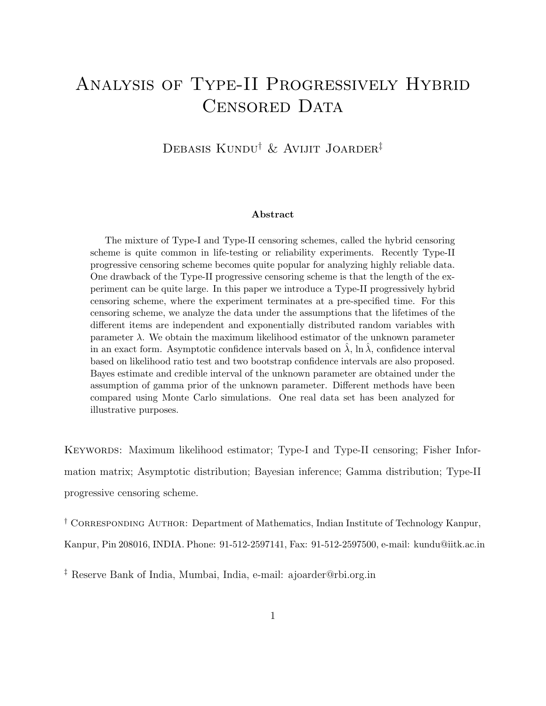# Analysis of Type-II Progressively Hybrid CENSORED DATA

Debasis Kundu† & Avijit Joarder‡

#### Abstract

The mixture of Type-I and Type-II censoring schemes, called the hybrid censoring scheme is quite common in life-testing or reliability experiments. Recently Type-II progressive censoring scheme becomes quite popular for analyzing highly reliable data. One drawback of the Type-II progressive censoring scheme is that the length of the experiment can be quite large. In this paper we introduce a Type-II progressively hybrid censoring scheme, where the experiment terminates at a pre-specified time. For this censoring scheme, we analyze the data under the assumptions that the lifetimes of the different items are independent and exponentially distributed random variables with parameter  $\lambda$ . We obtain the maximum likelihood estimator of the unknown parameter in an exact form. Asymptotic confidence intervals based on  $\lambda$ , ln  $\lambda$ , confidence interval based on likelihood ratio test and two bootstrap confidence intervals are also proposed. Bayes estimate and credible interval of the unknown parameter are obtained under the assumption of gamma prior of the unknown parameter. Different methods have been compared using Monte Carlo simulations. One real data set has been analyzed for illustrative purposes.

KEYWORDS: Maximum likelihood estimator; Type-I and Type-II censoring; Fisher Information matrix; Asymptotic distribution; Bayesian inference; Gamma distribution; Type-II progressive censoring scheme.

† Corresponding Author: Department of Mathematics, Indian Institute of Technology Kanpur, Kanpur, Pin 208016, INDIA. Phone: 91-512-2597141, Fax: 91-512-2597500, e-mail: kundu@iitk.ac.in

‡ Reserve Bank of India, Mumbai, India, e-mail: ajoarder@rbi.org.in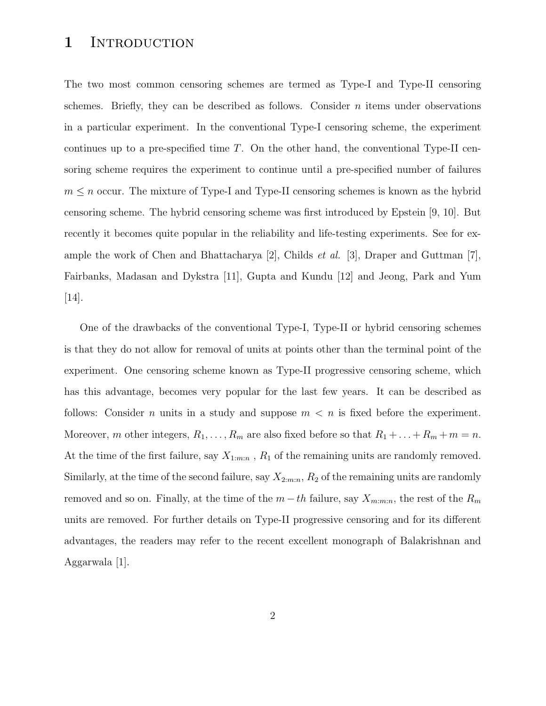### 1 INTRODUCTION

The two most common censoring schemes are termed as Type-I and Type-II censoring schemes. Briefly, they can be described as follows. Consider  $n$  items under observations in a particular experiment. In the conventional Type-I censoring scheme, the experiment continues up to a pre-specified time  $T$ . On the other hand, the conventional Type-II censoring scheme requires the experiment to continue until a pre-specified number of failures  $m \leq n$  occur. The mixture of Type-I and Type-II censoring schemes is known as the hybrid censoring scheme. The hybrid censoring scheme was first introduced by Epstein [9, 10]. But recently it becomes quite popular in the reliability and life-testing experiments. See for example the work of Chen and Bhattacharya [2], Childs *et al.* [3], Draper and Guttman [7], Fairbanks, Madasan and Dykstra [11], Gupta and Kundu [12] and Jeong, Park and Yum [14].

One of the drawbacks of the conventional Type-I, Type-II or hybrid censoring schemes is that they do not allow for removal of units at points other than the terminal point of the experiment. One censoring scheme known as Type-II progressive censoring scheme, which has this advantage, becomes very popular for the last few years. It can be described as follows: Consider n units in a study and suppose  $m < n$  is fixed before the experiment. Moreover, m other integers,  $R_1, \ldots, R_m$  are also fixed before so that  $R_1 + \ldots + R_m + m = n$ . At the time of the first failure, say  $X_{1:m:n}$ ,  $R_1$  of the remaining units are randomly removed. Similarly, at the time of the second failure, say  $X_{2:m:n}$ ,  $R_2$  of the remaining units are randomly removed and so on. Finally, at the time of the  $m-th$  failure, say  $X_{m:m:n}$ , the rest of the  $R_m$ units are removed. For further details on Type-II progressive censoring and for its different advantages, the readers may refer to the recent excellent monograph of Balakrishnan and Aggarwala [1].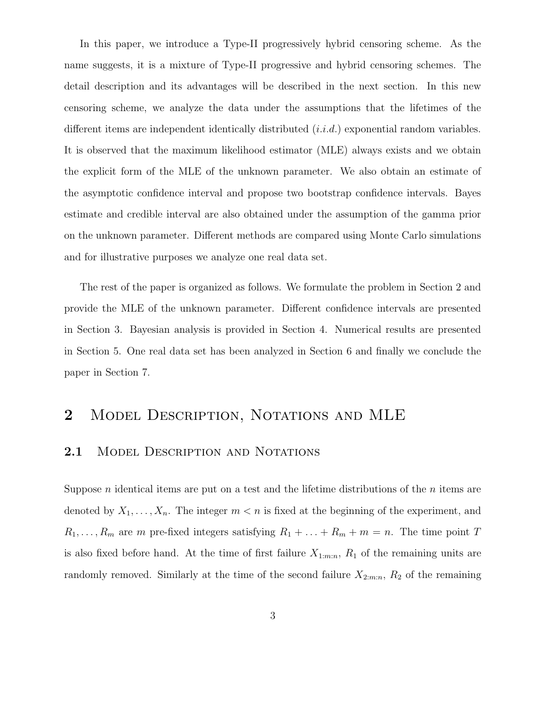In this paper, we introduce a Type-II progressively hybrid censoring scheme. As the name suggests, it is a mixture of Type-II progressive and hybrid censoring schemes. The detail description and its advantages will be described in the next section. In this new censoring scheme, we analyze the data under the assumptions that the lifetimes of the different items are independent identically distributed  $(i.i.d.)$  exponential random variables. It is observed that the maximum likelihood estimator (MLE) always exists and we obtain the explicit form of the MLE of the unknown parameter. We also obtain an estimate of the asymptotic confidence interval and propose two bootstrap confidence intervals. Bayes estimate and credible interval are also obtained under the assumption of the gamma prior on the unknown parameter. Different methods are compared using Monte Carlo simulations and for illustrative purposes we analyze one real data set.

The rest of the paper is organized as follows. We formulate the problem in Section 2 and provide the MLE of the unknown parameter. Different confidence intervals are presented in Section 3. Bayesian analysis is provided in Section 4. Numerical results are presented in Section 5. One real data set has been analyzed in Section 6 and finally we conclude the paper in Section 7.

# 2 MODEL DESCRIPTION, NOTATIONS AND MLE

#### 2.1 MODEL DESCRIPTION AND NOTATIONS

Suppose  $n$  identical items are put on a test and the lifetime distributions of the  $n$  items are denoted by  $X_1, \ldots, X_n$ . The integer  $m < n$  is fixed at the beginning of the experiment, and  $R_1, \ldots, R_m$  are m pre-fixed integers satisfying  $R_1 + \ldots + R_m + m = n$ . The time point T is also fixed before hand. At the time of first failure  $X_{1:m:n}$ ,  $R_1$  of the remaining units are randomly removed. Similarly at the time of the second failure  $X_{2:m:n}$ ,  $R_2$  of the remaining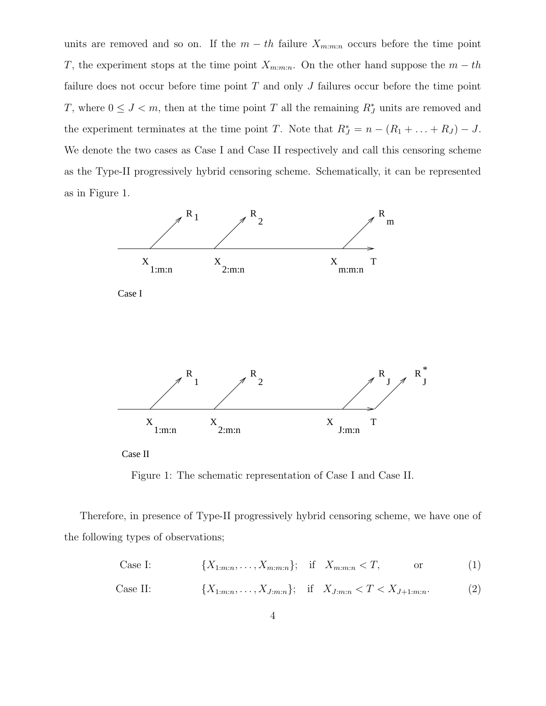units are removed and so on. If the  $m - th$  failure  $X_{m:m:n}$  occurs before the time point T, the experiment stops at the time point  $X_{m:m:n}$ . On the other hand suppose the  $m-th$ failure does not occur before time point  $T$  and only  $J$  failures occur before the time point T, where  $0 \leq J \leq m$ , then at the time point T all the remaining  $R_J^*$  units are removed and the experiment terminates at the time point T. Note that  $R_J^* = n - (R_1 + \ldots + R_J) - J$ . We denote the two cases as Case I and Case II respectively and call this censoring scheme as the Type-II progressively hybrid censoring scheme. Schematically, it can be represented as in Figure 1.



Case II

Figure 1: The schematic representation of Case I and Case II.

Therefore, in presence of Type-II progressively hybrid censoring scheme, we have one of the following types of observations;

Case I: 
$$
\{X_{1:m:n}, \ldots, X_{m:m:n}\}; \quad \text{if} \quad X_{m:m:n} < T, \quad \text{or} \quad (1)
$$

Case II: 
$$
\{X_{1:m:n}, \ldots, X_{J:m:n}\};
$$
 if  $X_{J:m:n} < T < X_{J+1:m:n}.$  (2)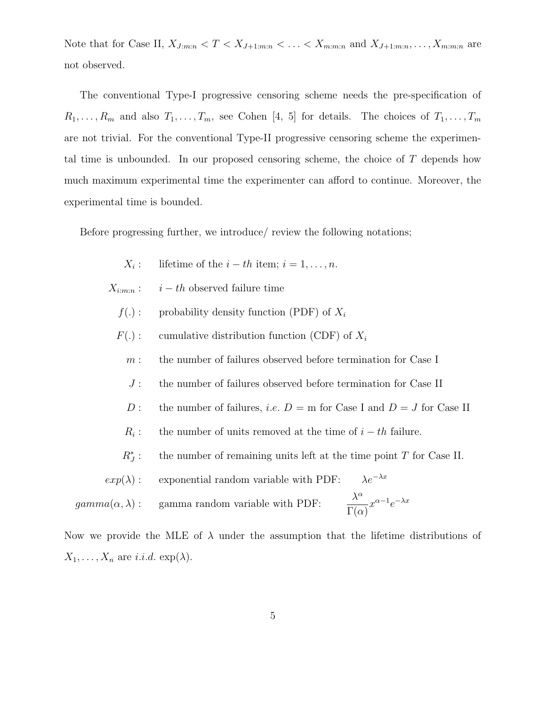Note that for Case II,  $X_{J:m:n} < T < X_{J+1:m:n} < \ldots < X_{m:m:n}$  and  $X_{J+1:m:n}, \ldots, X_{m:m:n}$  are not observed.

The conventional Type-I progressive censoring scheme needs the pre-specification of  $R_1, \ldots, R_m$  and also  $T_1, \ldots, T_m$ , see Cohen [4, 5] for details. The choices of  $T_1, \ldots, T_m$ are not trivial. For the conventional Type-II progressive censoring scheme the experimental time is unbounded. In our proposed censoring scheme, the choice of T depends how much maximum experimental time the experimenter can afford to continue. Moreover, the experimental time is bounded.

Before progressing further, we introduce/ review the following notations;

- $X_i$ : lifetime of the  $i - th$  item;  $i = 1, \ldots, n$ .
- $X_{i:m:n}: i-th$  observed failure time
	- $f(.)$ : probability density function (PDF) of  $X_i$
	- $F(.)$ : cumulative distribution function (CDF) of  $X_i$ 
		- $m:$  the number of failures observed before termination for Case I
		- J : the number of failures observed before termination for Case II
		- D : the number of failures, *i.e.*  $D = m$  for Case I and  $D = J$  for Case II
		- $R_i$ : the number of units removed at the time of  $i - th$  failure.
		- $R_J^*$ the number of remaining units left at the time point  $T$  for Case II.
- $exp(\lambda)$ : exponential random variable with PDF:  $\lambda e^{-\lambda x}$  $gamma(\alpha, \lambda)$  : <br>  $\quad$  gamma random variable with PDF: α  $\Gamma(\alpha)$  $x^{\alpha-1}e^{-\lambda x}$

Now we provide the MLE of  $\lambda$  under the assumption that the lifetime distributions of  $X_1, \ldots, X_n$  are *i.i.d.* exp( $\lambda$ ).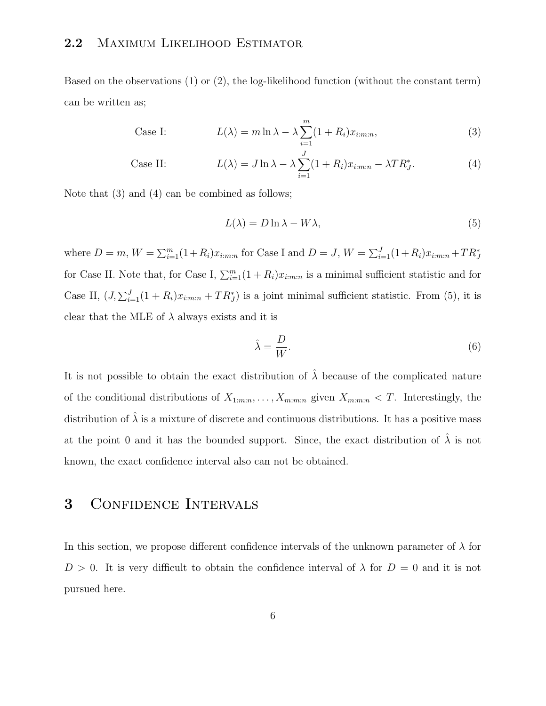#### 2.2 MAXIMUM LIKELIHOOD ESTIMATOR

Based on the observations (1) or (2), the log-likelihood function (without the constant term) can be written as;

Case I: 
$$
L(\lambda) = m \ln \lambda - \lambda \sum_{i=1}^{m} (1 + R_i) x_{i:m:n}, \qquad (3)
$$

Case II: 
$$
L(\lambda) = J \ln \lambda - \lambda \sum_{i=1}^{J} (1 + R_i) x_{i:m:n} - \lambda T R_J^*.
$$
 (4)

Note that (3) and (4) can be combined as follows;

$$
L(\lambda) = D \ln \lambda - W \lambda,\tag{5}
$$

where  $D = m$ ,  $W = \sum_{i=1}^{m} (1 + R_i)x_{i:m:n}$  for Case I and  $D = J$ ,  $W = \sum_{i=1}^{J} (1 + R_i)x_{i:m:n} + TR_J^*$ for Case II. Note that, for Case I,  $\sum_{i=1}^{m} (1 + R_i)x_{i:m:n}$  is a minimal sufficient statistic and for Case II,  $(J, \sum_{i=1}^{J} (1 + R_i)x_{i:m:n} + TR_J^*)$  is a joint minimal sufficient statistic. From (5), it is clear that the MLE of  $\lambda$  always exists and it is

$$
\hat{\lambda} = \frac{D}{W}.\tag{6}
$$

It is not possible to obtain the exact distribution of  $\hat{\lambda}$  because of the complicated nature of the conditional distributions of  $X_{1:m:n}, \ldots, X_{m:m:n}$  given  $X_{m:m:n} < T$ . Interestingly, the distribution of  $\hat{\lambda}$  is a mixture of discrete and continuous distributions. It has a positive mass at the point 0 and it has the bounded support. Since, the exact distribution of  $\hat{\lambda}$  is not known, the exact confidence interval also can not be obtained.

# 3 CONFIDENCE INTERVALS

In this section, we propose different confidence intervals of the unknown parameter of  $\lambda$  for  $D > 0$ . It is very difficult to obtain the confidence interval of  $\lambda$  for  $D = 0$  and it is not pursued here.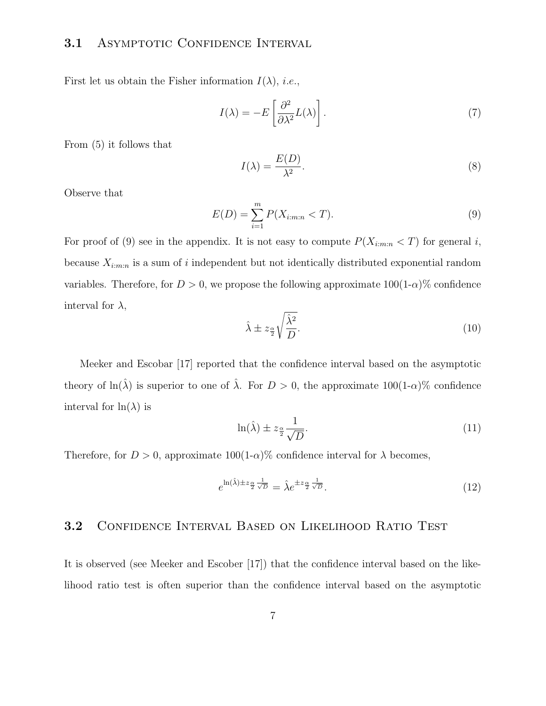### 3.1 ASYMPTOTIC CONFIDENCE INTERVAL

First let us obtain the Fisher information  $I(\lambda)$ , *i.e.*,

$$
I(\lambda) = -E\left[\frac{\partial^2}{\partial \lambda^2}L(\lambda)\right].
$$
 (7)

From (5) it follows that

$$
I(\lambda) = \frac{E(D)}{\lambda^2}.
$$
 (8)

Observe that

$$
E(D) = \sum_{i=1}^{m} P(X_{i:m:n} < T). \tag{9}
$$

For proof of (9) see in the appendix. It is not easy to compute  $P(X_{i:m:n} < T)$  for general i, because  $X_{i:m:n}$  is a sum of i independent but not identically distributed exponential random variables. Therefore, for  $D > 0$ , we propose the following approximate  $100(1-\alpha)\%$  confidence interval for  $\lambda$ ,

$$
\hat{\lambda} \pm z_{\frac{\alpha}{2}} \sqrt{\frac{\hat{\lambda}^2}{D}}.\tag{10}
$$

Meeker and Escobar [17] reported that the confidence interval based on the asymptotic theory of ln( $\hat{\lambda}$ ) is superior to one of  $\hat{\lambda}$ . For  $D > 0$ , the approximate 100(1- $\alpha$ )% confidence interval for  $\ln(\lambda)$  is

$$
\ln(\hat{\lambda}) \pm z_{\frac{\alpha}{2}} \frac{1}{\sqrt{D}}.\tag{11}
$$

Therefore, for  $D > 0$ , approximate 100(1- $\alpha$ )% confidence interval for  $\lambda$  becomes,

$$
e^{\ln(\hat{\lambda}) \pm z_{\frac{\alpha}{2}} \frac{1}{\sqrt{D}}} = \hat{\lambda} e^{\pm z_{\frac{\alpha}{2}} \frac{1}{\sqrt{D}}}.
$$
\n(12)

#### 3.2 Confidence Interval Based on Likelihood Ratio Test

It is observed (see Meeker and Escober [17]) that the confidence interval based on the likelihood ratio test is often superior than the confidence interval based on the asymptotic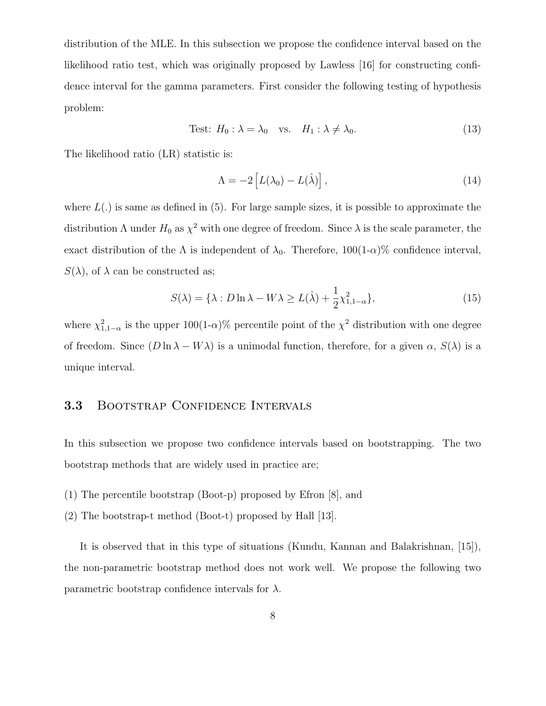distribution of the MLE. In this subsection we propose the confidence interval based on the likelihood ratio test, which was originally proposed by Lawless [16] for constructing confidence interval for the gamma parameters. First consider the following testing of hypothesis problem:

Test: 
$$
H_0: \lambda = \lambda_0
$$
 vs.  $H_1: \lambda \neq \lambda_0$ . (13)

The likelihood ratio (LR) statistic is:

$$
\Lambda = -2 \left[ L(\lambda_0) - L(\hat{\lambda}) \right], \tag{14}
$$

where  $L(.)$  is same as defined in (5). For large sample sizes, it is possible to approximate the distribution  $\Lambda$  under  $H_0$  as  $\chi^2$  with one degree of freedom. Since  $\lambda$  is the scale parameter, the exact distribution of the  $\Lambda$  is independent of  $\lambda_0$ . Therefore, 100(1- $\alpha$ )% confidence interval,  $S(\lambda)$ , of  $\lambda$  can be constructed as;

$$
S(\lambda) = \{\lambda : D \ln \lambda - W\lambda \ge L(\hat{\lambda}) + \frac{1}{2}\chi^2_{1,1-\alpha}\},\tag{15}
$$

where  $\chi^2_{1,1-\alpha}$  is the upper 100(1- $\alpha$ )% percentile point of the  $\chi^2$  distribution with one degree of freedom. Since  $(D \ln \lambda - W\lambda)$  is a unimodal function, therefore, for a given  $\alpha$ ,  $S(\lambda)$  is a unique interval.

#### 3.3 BOOTSTRAP CONFIDENCE INTERVALS

In this subsection we propose two confidence intervals based on bootstrapping. The two bootstrap methods that are widely used in practice are;

- (1) The percentile bootstrap (Boot-p) proposed by Efron [8], and
- (2) The bootstrap-t method (Boot-t) proposed by Hall [13].

It is observed that in this type of situations (Kundu, Kannan and Balakrishnan, [15]), the non-parametric bootstrap method does not work well. We propose the following two parametric bootstrap confidence intervals for  $\lambda$ .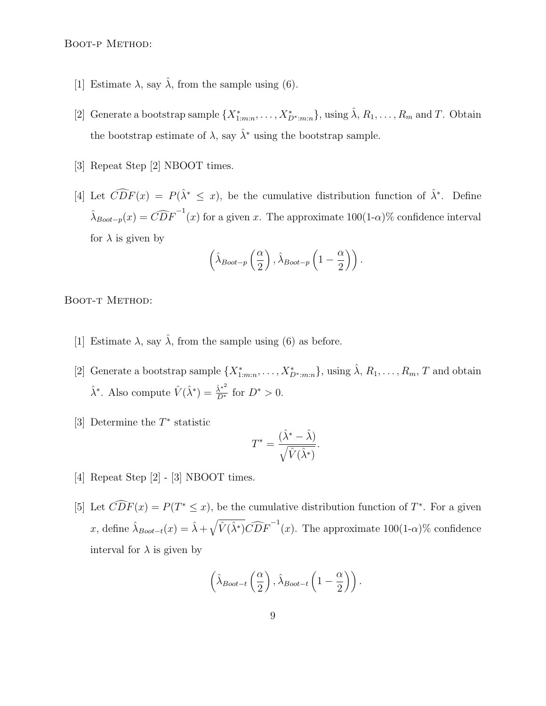Boot-p Method:

- [1] Estimate  $\lambda$ , say  $\hat{\lambda}$ , from the sample using (6).
- [2] Generate a bootstrap sample  $\{X_{1:m:n}^*,\ldots,X_{D^*,m:n}^*\}$ , using  $\hat{\lambda}, R_1,\ldots,R_m$  and T. Obtain the bootstrap estimate of  $\lambda$ , say  $\hat{\lambda}^*$  using the bootstrap sample.
- [3] Repeat Step [2] NBOOT times.
- [4] Let  $\widehat{CDF}(x) = P(\hat{\lambda}^* \leq x)$ , be the cumulative distribution function of  $\hat{\lambda}^*$ . Define  $\hat{\lambda}_{\text{Boot}-p}(x) = \widehat{CDF}^{-1}(x)$  for a given x. The approximate  $100(1-\alpha)\%$  confidence interval for  $\lambda$  is given by

$$
\left(\hat{\lambda}_{\text{Boot}-p}\left(\frac{\alpha}{2}\right), \hat{\lambda}_{\text{Boot}-p}\left(1-\frac{\alpha}{2}\right)\right).
$$

BOOT-T METHOD:

- [1] Estimate  $\lambda$ , say  $\hat{\lambda}$ , from the sample using (6) as before.
- [2] Generate a bootstrap sample  $\{X_{1:m:n}^*,\ldots,X_{D^*,m:n}^*\}$ , using  $\hat{\lambda}, R_1,\ldots,R_m, T$  and obtain  $\hat{\lambda}^*$ . Also compute  $\hat{V}(\hat{\lambda}^*) = \frac{\hat{\lambda}^{*^2}}{D^*}$  for  $D^* > 0$ .
- [3] Determine the  $T^*$  statistic

$$
T^* = \frac{(\hat{\lambda}^* - \hat{\lambda})}{\sqrt{\hat{V}(\hat{\lambda}^*)}}.
$$

- [4] Repeat Step [2] [3] NBOOT times.
- [5] Let  $\widehat{CDF}(x) = P(T^* \leq x)$ , be the cumulative distribution function of  $T^*$ . For a given x, define  $\hat{\lambda}_{Bool-t}(x) = \hat{\lambda} + \sqrt{\hat{V}(\hat{\lambda}^*)} \widehat{CDF}^{-1}(x)$ . The approximate  $100(1-\alpha)\%$  confidence interval for  $\lambda$  is given by

$$
\left(\hat{\lambda}_{Boot-t}\left(\frac{\alpha}{2}\right), \hat{\lambda}_{Boot-t}\left(1-\frac{\alpha}{2}\right)\right).
$$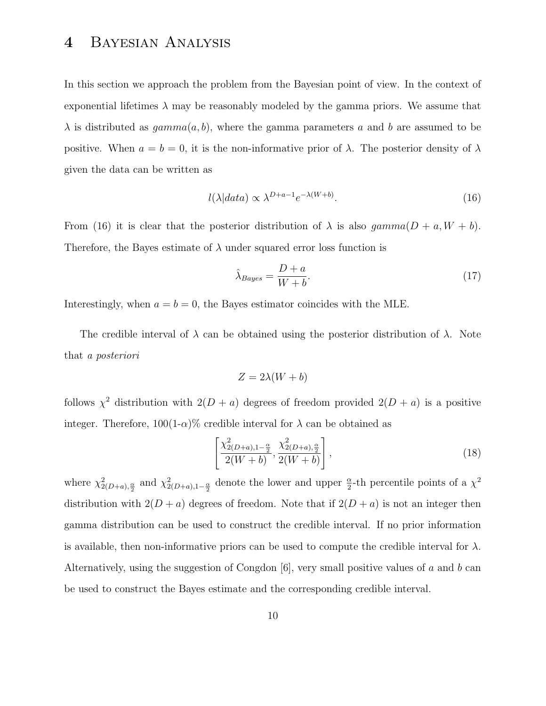# 4 Bayesian Analysis

In this section we approach the problem from the Bayesian point of view. In the context of exponential lifetimes  $\lambda$  may be reasonably modeled by the gamma priors. We assume that  $\lambda$  is distributed as  $gamma(a, b)$ , where the gamma parameters a and b are assumed to be positive. When  $a = b = 0$ , it is the non-informative prior of  $\lambda$ . The posterior density of  $\lambda$ given the data can be written as

$$
l(\lambda|data) \propto \lambda^{D+a-1} e^{-\lambda(W+b)}.\tag{16}
$$

From (16) it is clear that the posterior distribution of  $\lambda$  is also gamma $(D + a, W + b)$ . Therefore, the Bayes estimate of  $\lambda$  under squared error loss function is

$$
\hat{\lambda}_{Bayes} = \frac{D + a}{W + b}.\tag{17}
$$

Interestingly, when  $a = b = 0$ , the Bayes estimator coincides with the MLE.

The credible interval of  $\lambda$  can be obtained using the posterior distribution of  $\lambda$ . Note that a posteriori

$$
Z = 2\lambda(W + b)
$$

follows  $\chi^2$  distribution with  $2(D + a)$  degrees of freedom provided  $2(D + a)$  is a positive integer. Therefore,  $100(1-\alpha)\%$  credible interval for  $\lambda$  can be obtained as

$$
\left[\frac{\chi_{2(D+a),1-\frac{\alpha}{2}}^2}{2(W+b)}, \frac{\chi_{2(D+a),\frac{\alpha}{2}}^2}{2(W+b)}\right],
$$
\n(18)

where  $\chi^2_{2(D+a),\frac{\alpha}{2}}$  and  $\chi^2_{2(D+a),1-\frac{\alpha}{2}}$  denote the lower and upper  $\frac{\alpha}{2}$ -th percentile points of a  $\chi^2$ distribution with  $2(D + a)$  degrees of freedom. Note that if  $2(D + a)$  is not an integer then gamma distribution can be used to construct the credible interval. If no prior information is available, then non-informative priors can be used to compute the credible interval for  $\lambda$ . Alternatively, using the suggestion of Congdon  $[6]$ , very small positive values of a and b can be used to construct the Bayes estimate and the corresponding credible interval.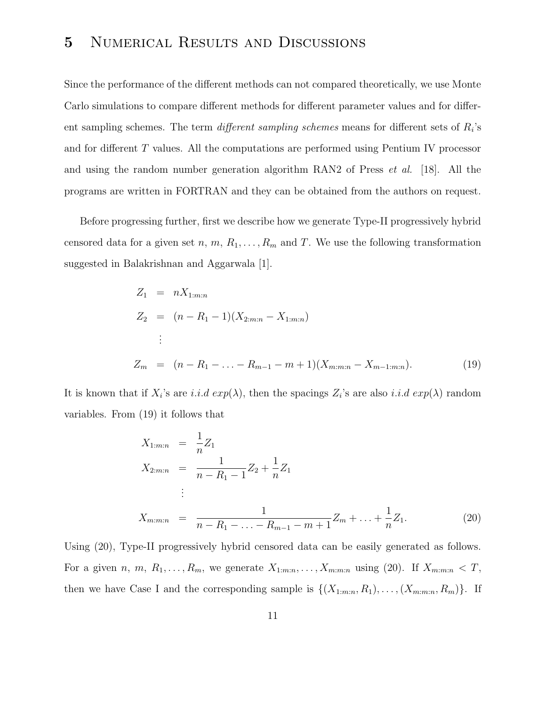# 5 Numerical Results and Discussions

Since the performance of the different methods can not compared theoretically, we use Monte Carlo simulations to compare different methods for different parameter values and for different sampling schemes. The term *different sampling schemes* means for different sets of  $R_i$ 's and for different T values. All the computations are performed using Pentium IV processor and using the random number generation algorithm RAN2 of Press et al. [18]. All the programs are written in FORTRAN and they can be obtained from the authors on request.

Before progressing further, first we describe how we generate Type-II progressively hybrid censored data for a given set n,  $m, R_1, \ldots, R_m$  and T. We use the following transformation suggested in Balakrishnan and Aggarwala [1].

$$
Z_1 = nX_{1:m:n}
$$
  
\n
$$
Z_2 = (n - R_1 - 1)(X_{2:m:n} - X_{1:m:n})
$$
  
\n
$$
\vdots
$$
  
\n
$$
Z_m = (n - R_1 - ... - R_{m-1} - m + 1)(X_{m:m:n} - X_{m-1:m:n}).
$$
\n(19)

It is known that if  $X_i$ 's are i.i.d  $exp(\lambda)$ , then the spacings  $Z_i$ 's are also i.i.d  $exp(\lambda)$  random variables. From (19) it follows that

$$
X_{1:m:n} = \frac{1}{n} Z_1
$$
  
\n
$$
X_{2:m:n} = \frac{1}{n - R_1 - 1} Z_2 + \frac{1}{n} Z_1
$$
  
\n
$$
\vdots
$$
  
\n
$$
X_{m:m:n} = \frac{1}{n - R_1 - \ldots - R_{m-1} - m + 1} Z_m + \ldots + \frac{1}{n} Z_1.
$$
\n(20)

Using (20), Type-II progressively hybrid censored data can be easily generated as follows. For a given n, m,  $R_1, \ldots, R_m$ , we generate  $X_{1:m:n}, \ldots, X_{m:m:n}$  using (20). If  $X_{m:m:n} < T$ , then we have Case I and the corresponding sample is  $\{(X_{1:m:n}, R_1), \ldots, (X_{m:m:n}, R_m)\}\$ . If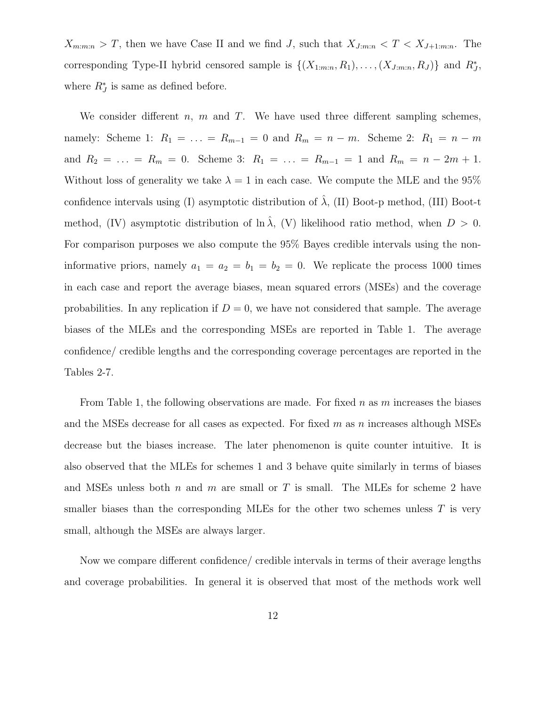$X_{m:m:n} > T$ , then we have Case II and we find J, such that  $X_{J:m:n} < T < X_{J+1:m:n}$ . The corresponding Type-II hybrid censored sample is  $\{(X_{1:m:n}, R_1), \ldots, (X_{J:m:n}, R_J)\}\$  and  $R_J^*$ , where  $R_J^*$  is same as defined before.

We consider different  $n, m$  and T. We have used three different sampling schemes, namely: Scheme 1:  $R_1 = \ldots = R_{m-1} = 0$  and  $R_m = n - m$ . Scheme 2:  $R_1 = n - m$ and  $R_2 = \ldots = R_m = 0$ . Scheme 3:  $R_1 = \ldots = R_{m-1} = 1$  and  $R_m = n - 2m + 1$ . Without loss of generality we take  $\lambda = 1$  in each case. We compute the MLE and the 95% confidence intervals using (I) asymptotic distribution of  $\hat{\lambda}$ , (II) Boot-p method, (III) Boot-t method, (IV) asymptotic distribution of  $\ln \lambda$ , (V) likelihood ratio method, when  $D > 0$ . For comparison purposes we also compute the 95% Bayes credible intervals using the noninformative priors, namely  $a_1 = a_2 = b_1 = b_2 = 0$ . We replicate the process 1000 times in each case and report the average biases, mean squared errors (MSEs) and the coverage probabilities. In any replication if  $D = 0$ , we have not considered that sample. The average biases of the MLEs and the corresponding MSEs are reported in Table 1. The average confidence/ credible lengths and the corresponding coverage percentages are reported in the Tables 2-7.

From Table 1, the following observations are made. For fixed  $n$  as  $m$  increases the biases and the MSEs decrease for all cases as expected. For fixed  $m$  as n increases although MSEs decrease but the biases increase. The later phenomenon is quite counter intuitive. It is also observed that the MLEs for schemes 1 and 3 behave quite similarly in terms of biases and MSEs unless both n and m are small or T is small. The MLEs for scheme 2 have smaller biases than the corresponding MLEs for the other two schemes unless  $T$  is very small, although the MSEs are always larger.

Now we compare different confidence/ credible intervals in terms of their average lengths and coverage probabilities. In general it is observed that most of the methods work well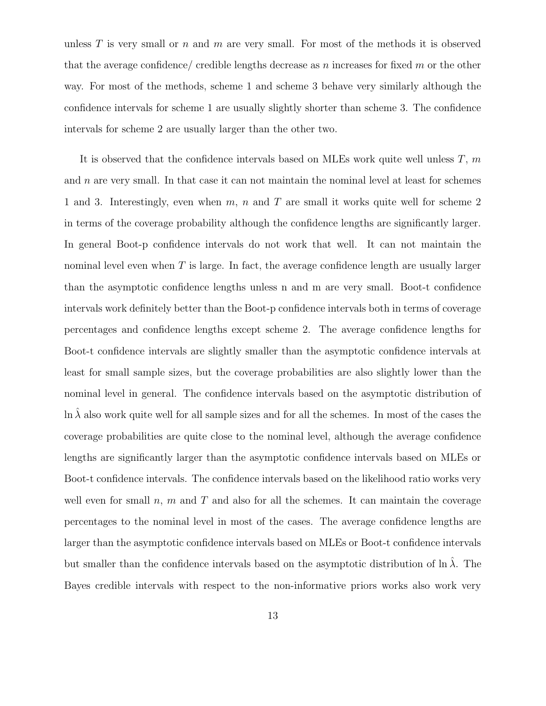unless  $T$  is very small or  $n$  and  $m$  are very small. For most of the methods it is observed that the average confidence/ credible lengths decrease as n increases for fixed  $m$  or the other way. For most of the methods, scheme 1 and scheme 3 behave very similarly although the confidence intervals for scheme 1 are usually slightly shorter than scheme 3. The confidence intervals for scheme 2 are usually larger than the other two.

It is observed that the confidence intervals based on MLEs work quite well unless  $T$ ,  $m$ and  $n$  are very small. In that case it can not maintain the nominal level at least for schemes 1 and 3. Interestingly, even when  $m$ ,  $n$  and  $T$  are small it works quite well for scheme 2 in terms of the coverage probability although the confidence lengths are significantly larger. In general Boot-p confidence intervals do not work that well. It can not maintain the nominal level even when  $T$  is large. In fact, the average confidence length are usually larger than the asymptotic confidence lengths unless n and m are very small. Boot-t confidence intervals work definitely better than the Boot-p confidence intervals both in terms of coverage percentages and confidence lengths except scheme 2. The average confidence lengths for Boot-t confidence intervals are slightly smaller than the asymptotic confidence intervals at least for small sample sizes, but the coverage probabilities are also slightly lower than the nominal level in general. The confidence intervals based on the asymptotic distribution of  $\ln \lambda$  also work quite well for all sample sizes and for all the schemes. In most of the cases the coverage probabilities are quite close to the nominal level, although the average confidence lengths are significantly larger than the asymptotic confidence intervals based on MLEs or Boot-t confidence intervals. The confidence intervals based on the likelihood ratio works very well even for small  $n$ ,  $m$  and  $T$  and also for all the schemes. It can maintain the coverage percentages to the nominal level in most of the cases. The average confidence lengths are larger than the asymptotic confidence intervals based on MLEs or Boot-t confidence intervals but smaller than the confidence intervals based on the asymptotic distribution of  $\ln \lambda$ . The Bayes credible intervals with respect to the non-informative priors works also work very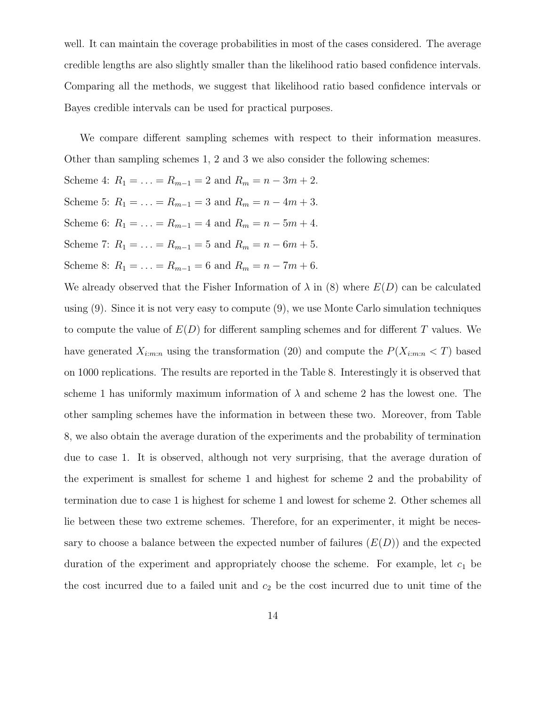well. It can maintain the coverage probabilities in most of the cases considered. The average credible lengths are also slightly smaller than the likelihood ratio based confidence intervals. Comparing all the methods, we suggest that likelihood ratio based confidence intervals or Bayes credible intervals can be used for practical purposes.

We compare different sampling schemes with respect to their information measures. Other than sampling schemes 1, 2 and 3 we also consider the following schemes:

Scheme 4:  $R_1 = \ldots = R_{m-1} = 2$  and  $R_m = n - 3m + 2$ . Scheme 5:  $R_1 = \ldots = R_{m-1} = 3$  and  $R_m = n - 4m + 3$ . Scheme 6:  $R_1 = \ldots = R_{m-1} = 4$  and  $R_m = n - 5m + 4$ . Scheme 7:  $R_1 = \ldots = R_{m-1} = 5$  and  $R_m = n - 6m + 5$ . Scheme 8:  $R_1 = \ldots = R_{m-1} = 6$  and  $R_m = n - 7m + 6$ .

We already observed that the Fisher Information of  $\lambda$  in (8) where  $E(D)$  can be calculated using (9). Since it is not very easy to compute (9), we use Monte Carlo simulation techniques to compute the value of  $E(D)$  for different sampling schemes and for different T values. We have generated  $X_{i:m:n}$  using the transformation (20) and compute the  $P(X_{i:m:n} < T)$  based on 1000 replications. The results are reported in the Table 8. Interestingly it is observed that scheme 1 has uniformly maximum information of  $\lambda$  and scheme 2 has the lowest one. The other sampling schemes have the information in between these two. Moreover, from Table 8, we also obtain the average duration of the experiments and the probability of termination due to case 1. It is observed, although not very surprising, that the average duration of the experiment is smallest for scheme 1 and highest for scheme 2 and the probability of termination due to case 1 is highest for scheme 1 and lowest for scheme 2. Other schemes all lie between these two extreme schemes. Therefore, for an experimenter, it might be necessary to choose a balance between the expected number of failures  $(E(D))$  and the expected duration of the experiment and appropriately choose the scheme. For example, let  $c_1$  be the cost incurred due to a failed unit and  $c_2$  be the cost incurred due to unit time of the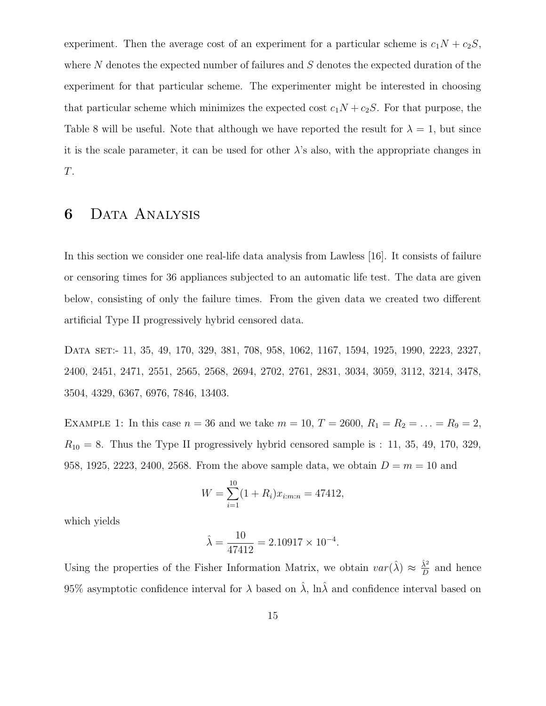experiment. Then the average cost of an experiment for a particular scheme is  $c_1N + c_2S$ , where  $N$  denotes the expected number of failures and  $S$  denotes the expected duration of the experiment for that particular scheme. The experimenter might be interested in choosing that particular scheme which minimizes the expected cost  $c_1N + c_2S$ . For that purpose, the Table 8 will be useful. Note that although we have reported the result for  $\lambda = 1$ , but since it is the scale parameter, it can be used for other  $\lambda$ 's also, with the appropriate changes in T.

# 6 Data Analysis

In this section we consider one real-life data analysis from Lawless [16]. It consists of failure or censoring times for 36 appliances subjected to an automatic life test. The data are given below, consisting of only the failure times. From the given data we created two different artificial Type II progressively hybrid censored data.

Data set:- 11, 35, 49, 170, 329, 381, 708, 958, 1062, 1167, 1594, 1925, 1990, 2223, 2327, 2400, 2451, 2471, 2551, 2565, 2568, 2694, 2702, 2761, 2831, 3034, 3059, 3112, 3214, 3478, 3504, 4329, 6367, 6976, 7846, 13403.

EXAMPLE 1: In this case  $n = 36$  and we take  $m = 10$ ,  $T = 2600$ ,  $R_1 = R_2 = \ldots = R_9 = 2$ ,  $R_{10} = 8$ . Thus the Type II progressively hybrid censored sample is : 11, 35, 49, 170, 329, 958, 1925, 2223, 2400, 2568. From the above sample data, we obtain  $D = m = 10$  and

$$
W = \sum_{i=1}^{10} (1 + R_i)x_{i:m:n} = 47412,
$$

which yields

$$
\hat{\lambda} = \frac{10}{47412} = 2.10917 \times 10^{-4}.
$$

Using the properties of the Fisher Information Matrix, we obtain  $var(\hat{\lambda}) \approx \frac{\hat{\lambda}^2}{D}$  $\frac{\lambda^2}{D}$  and hence 95% asymptotic confidence interval for  $\lambda$  based on  $\hat{\lambda}$ , ln $\hat{\lambda}$  and confidence interval based on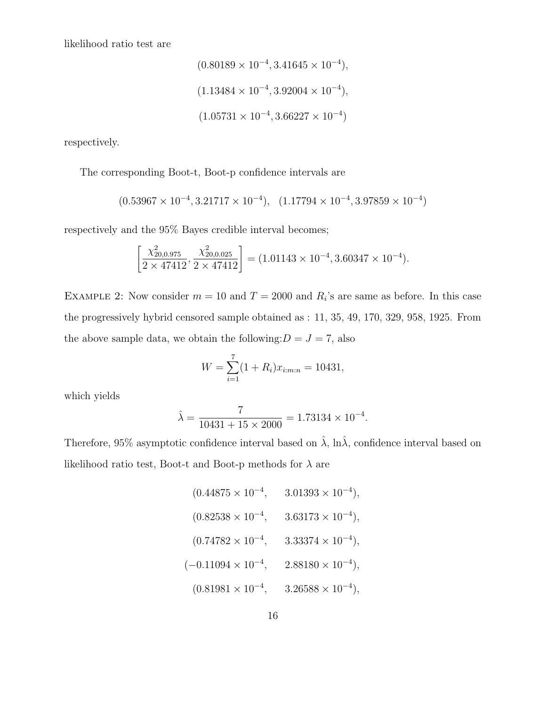likelihood ratio test are

$$
(0.80189 \times 10^{-4}, 3.41645 \times 10^{-4}),
$$
  
 $(1.13484 \times 10^{-4}, 3.92004 \times 10^{-4}),$   
 $(1.05731 \times 10^{-4}, 3.66227 \times 10^{-4})$ 

respectively.

The corresponding Boot-t, Boot-p confidence intervals are

$$
(0.53967 \times 10^{-4}, 3.21717 \times 10^{-4}), (1.17794 \times 10^{-4}, 3.97859 \times 10^{-4})
$$

respectively and the 95% Bayes credible interval becomes;

$$
\left[\frac{\chi_{20,0.975}^2}{2 \times 47412}, \frac{\chi_{20,0.025}^2}{2 \times 47412}\right] = (1.01143 \times 10^{-4}, 3.60347 \times 10^{-4}).
$$

EXAMPLE 2: Now consider  $m = 10$  and  $T = 2000$  and  $R_i$ 's are same as before. In this case the progressively hybrid censored sample obtained as : 11, 35, 49, 170, 329, 958, 1925. From the above sample data, we obtain the following: $D = J = 7$ , also

$$
W = \sum_{i=1}^{7} (1 + R_i) x_{i:m:n} = 10431,
$$

which yields

$$
\hat{\lambda} = \frac{7}{10431 + 15 \times 2000} = 1.73134 \times 10^{-4}.
$$

Therefore, 95% asymptotic confidence interval based on  $\hat{\lambda}$ ,  $\ln \hat{\lambda}$ , confidence interval based on likelihood ratio test, Boot-t and Boot-p methods for  $\lambda$  are

$$
(0.44875 \times 10^{-4}, \qquad 3.01393 \times 10^{-4}),
$$
  
\n
$$
(0.82538 \times 10^{-4}, \qquad 3.63173 \times 10^{-4}),
$$
  
\n
$$
(0.74782 \times 10^{-4}, \qquad 3.33374 \times 10^{-4}),
$$
  
\n
$$
(-0.11094 \times 10^{-4}, \qquad 2.88180 \times 10^{-4}),
$$
  
\n
$$
(0.81981 \times 10^{-4}, \qquad 3.26588 \times 10^{-4}),
$$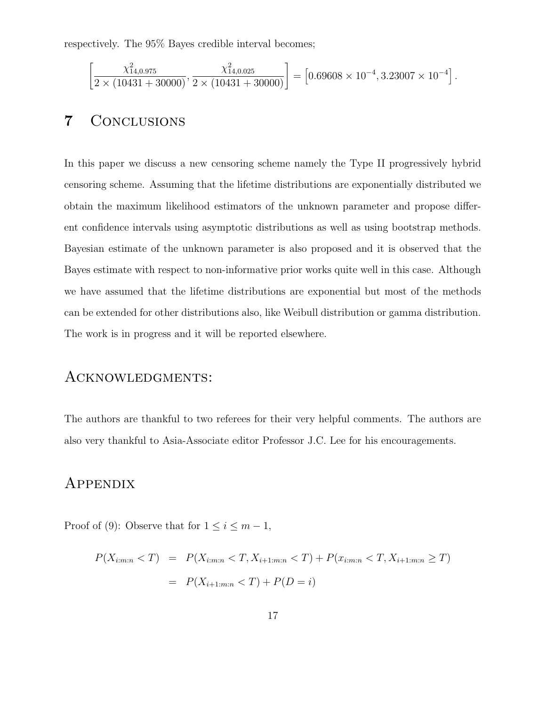respectively. The 95% Bayes credible interval becomes;

$$
\left[\frac{\chi^2_{14,0.975}}{2 \times (10431 + 30000)}, \frac{\chi^2_{14,0.025}}{2 \times (10431 + 30000)}\right] = \left[0.69608 \times 10^{-4}, 3.23007 \times 10^{-4}\right].
$$

# 7 Conclusions

In this paper we discuss a new censoring scheme namely the Type II progressively hybrid censoring scheme. Assuming that the lifetime distributions are exponentially distributed we obtain the maximum likelihood estimators of the unknown parameter and propose different confidence intervals using asymptotic distributions as well as using bootstrap methods. Bayesian estimate of the unknown parameter is also proposed and it is observed that the Bayes estimate with respect to non-informative prior works quite well in this case. Although we have assumed that the lifetime distributions are exponential but most of the methods can be extended for other distributions also, like Weibull distribution or gamma distribution. The work is in progress and it will be reported elsewhere.

#### Acknowledgments:

The authors are thankful to two referees for their very helpful comments. The authors are also very thankful to Asia-Associate editor Professor J.C. Lee for his encouragements.

### **APPENDIX**

Proof of (9): Observe that for  $1 \leq i \leq m-1$ ,

$$
P(X_{i:m:n} < T) = P(X_{i:m:n} < T, X_{i+1:m:n} < T) + P(x_{i:m:n} < T, X_{i+1:m:n} \ge T)
$$
\n
$$
= P(X_{i+1:m:n} < T) + P(D = i)
$$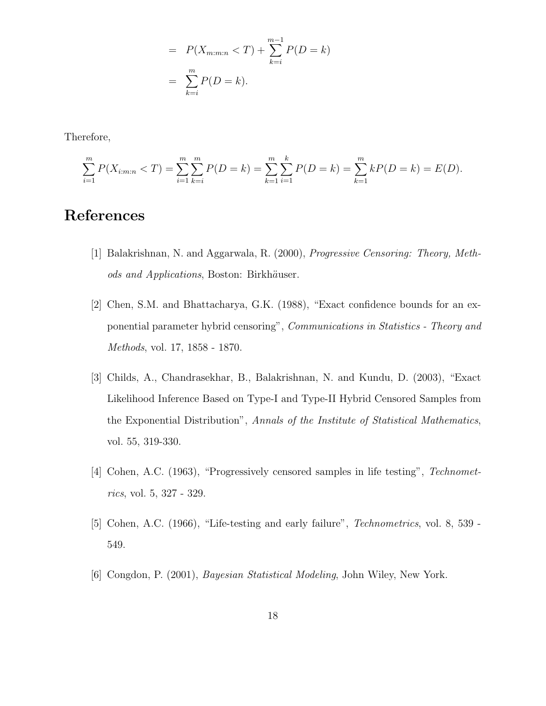$$
= P(X_{m:m:n} < T) + \sum_{k=i}^{m-1} P(D = k)
$$
\n
$$
= \sum_{k=i}^{m} P(D = k).
$$

Therefore,

$$
\sum_{i=1}^{m} P(X_{i:m:n} < T) = \sum_{i=1}^{m} \sum_{k=i}^{m} P(D=k) = \sum_{k=1}^{m} \sum_{i=1}^{k} P(D=k) = \sum_{k=1}^{m} k P(D=k) = E(D).
$$

# References

- [1] Balakrishnan, N. and Aggarwala, R. (2000), Progressive Censoring: Theory, Methods and Applications, Boston: Birkhäuser.
- [2] Chen, S.M. and Bhattacharya, G.K. (1988), "Exact confidence bounds for an exponential parameter hybrid censoring", Communications in Statistics - Theory and Methods, vol. 17, 1858 - 1870.
- [3] Childs, A., Chandrasekhar, B., Balakrishnan, N. and Kundu, D. (2003), "Exact Likelihood Inference Based on Type-I and Type-II Hybrid Censored Samples from the Exponential Distribution", Annals of the Institute of Statistical Mathematics, vol. 55, 319-330.
- [4] Cohen, A.C. (1963), "Progressively censored samples in life testing", Technometrics, vol. 5, 327 - 329.
- [5] Cohen, A.C. (1966), "Life-testing and early failure", Technometrics, vol. 8, 539 549.
- [6] Congdon, P. (2001), Bayesian Statistical Modeling, John Wiley, New York.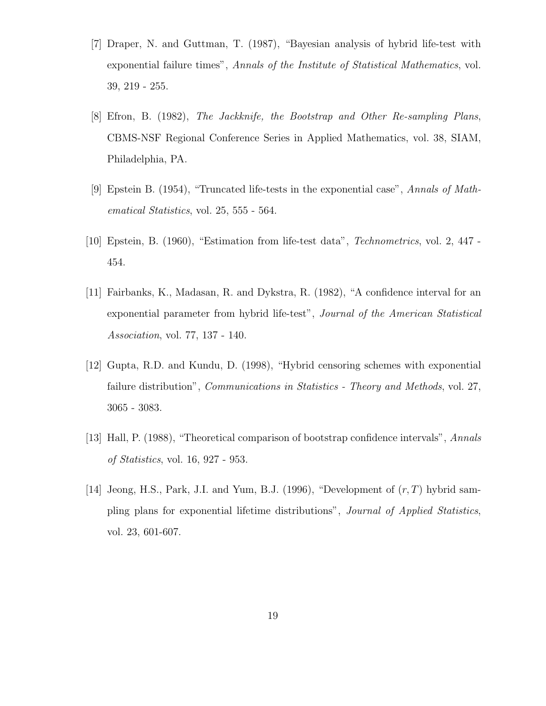- [7] Draper, N. and Guttman, T. (1987), "Bayesian analysis of hybrid life-test with exponential failure times", Annals of the Institute of Statistical Mathematics, vol. 39, 219 - 255.
- [8] Efron, B. (1982), The Jackknife, the Bootstrap and Other Re-sampling Plans, CBMS-NSF Regional Conference Series in Applied Mathematics, vol. 38, SIAM, Philadelphia, PA.
- [9] Epstein B. (1954), "Truncated life-tests in the exponential case", Annals of Mathematical Statistics, vol. 25, 555 - 564.
- [10] Epstein, B. (1960), "Estimation from life-test data", Technometrics, vol. 2, 447 454.
- [11] Fairbanks, K., Madasan, R. and Dykstra, R. (1982), "A confidence interval for an exponential parameter from hybrid life-test", Journal of the American Statistical Association, vol. 77, 137 - 140.
- [12] Gupta, R.D. and Kundu, D. (1998), "Hybrid censoring schemes with exponential failure distribution", *Communications in Statistics - Theory and Methods*, vol. 27, 3065 - 3083.
- [13] Hall, P. (1988), "Theoretical comparison of bootstrap confidence intervals", Annals of Statistics, vol. 16, 927 - 953.
- [14] Jeong, H.S., Park, J.I. and Yum, B.J. (1996), "Development of  $(r, T)$  hybrid sampling plans for exponential lifetime distributions", Journal of Applied Statistics, vol. 23, 601-607.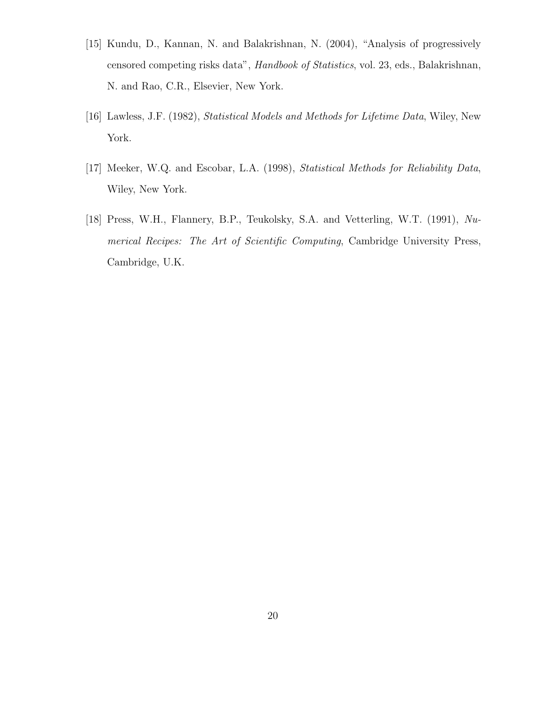- [15] Kundu, D., Kannan, N. and Balakrishnan, N. (2004), "Analysis of progressively censored competing risks data", Handbook of Statistics, vol. 23, eds., Balakrishnan, N. and Rao, C.R., Elsevier, New York.
- [16] Lawless, J.F. (1982), Statistical Models and Methods for Lifetime Data, Wiley, New York.
- [17] Meeker, W.Q. and Escobar, L.A. (1998), Statistical Methods for Reliability Data, Wiley, New York.
- [18] Press, W.H., Flannery, B.P., Teukolsky, S.A. and Vetterling, W.T. (1991), Numerical Recipes: The Art of Scientific Computing, Cambridge University Press, Cambridge, U.K.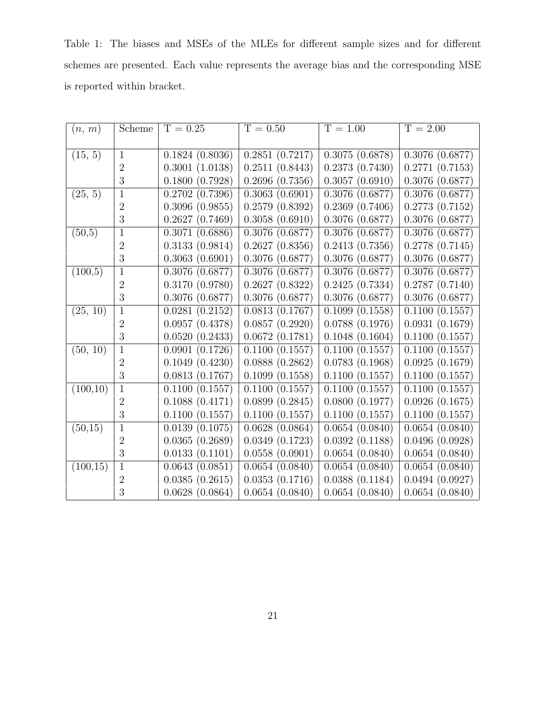Table 1: The biases and MSEs of the MLEs for different sample sizes and for different schemes are presented. Each value represents the average bias and the corresponding MSE is reported within bracket.

| (n, m)    | Scheme         | $T = 0.25$     | $T = 0.50$                     | $T = 1.00$     | $T = 2.00$                   |
|-----------|----------------|----------------|--------------------------------|----------------|------------------------------|
|           |                |                |                                |                |                              |
| (15, 5)   | $\mathbf{1}$   | 0.1824(0.8036) | $\overline{0.2851}$ $(0.7217)$ | 0.3075(0.6878) | $\overline{0.3076}$ (0.6877) |
|           | $\overline{2}$ | 0.3001(1.0138) | 0.2511(0.8443)                 | 0.2373(0.7430) | 0.2771(0.7153)               |
|           | 3              | 0.1800(0.7928) | 0.2696(0.7356)                 | 0.3057(0.6910) | 0.3076(0.6877)               |
| (25, 5)   | $\overline{1}$ | 0.2702(0.7396) | 0.3063(0.6901)                 | 0.3076(0.6877) | 0.3076(0.6877)               |
|           | $\overline{2}$ | 0.3096(0.9855) | 0.2579(0.8392)                 | 0.2369(0.7406) | 0.2773(0.7152)               |
|           | 3              | 0.2627(0.7469) | 0.3058(0.6910)                 | 0.3076(0.6877) | $0.3076$ $(0.6877)$          |
| (50,5)    | $\mathbf{1}$   | 0.3071(0.6886) | 0.3076(0.6877)                 | 0.3076(0.6877) | 0.3076(0.6877)               |
|           | $\overline{2}$ | 0.3133(0.9814) | 0.2627(0.8356)                 | 0.2413(0.7356) | 0.2778(0.7145)               |
|           | 3              | 0.3063(0.6901) | $0.3076$ $(0.6877)$            | 0.3076(0.6877) | $0.3076$ $(0.6877)$          |
| (100,5)   | $\overline{1}$ | 0.3076(0.6877) | 0.3076(0.6877)                 | 0.3076(0.6877) | 0.3076(0.6877)               |
|           | $\overline{2}$ | 0.3170(0.9780) | 0.2627(0.8322)                 | 0.2425(0.7334) | 0.2787(0.7140)               |
|           | 3              | 0.3076(0.6877) | 0.3076(0.6877)                 | 0.3076(0.6877) | $0.3076$ $(0.6877)$          |
| (25, 10)  | $\mathbf{1}$   | 0.0281(0.2152) | $\overline{0.0813}$ (0.1767)   | 0.1099(0.1558) | 0.1100(0.1557)               |
|           | $\overline{2}$ | 0.0957(0.4378) | 0.0857(0.2920)                 | 0.0788(0.1976) | 0.0931(0.1679)               |
|           | 3              | 0.0520(0.2433) | 0.0672(0.1781)                 | 0.1048(0.1604) | 0.1100(0.1557)               |
| (50, 10)  | $\mathbf{1}$   | 0.0901(0.1726) | 0.1100(0.1557)                 | 0.1100(0.1557) | 0.1100(0.1557)               |
|           | $\overline{2}$ | 0.1049(0.4230) | 0.0888(0.2862)                 | 0.0783(0.1968) | 0.0925(0.1679)               |
|           | 3              | 0.0813(0.1767) | 0.1099(0.1558)                 | 0.1100(0.1557) | 0.1100(0.1557)               |
| (100,10)  | $\mathbf{1}$   | 0.1100(0.1557) | 0.1100(0.1557)                 | 0.1100(0.1557) | 0.1100(0.1557)               |
|           | $\overline{2}$ | 0.1088(0.4171) | 0.0899(0.2845)                 | 0.0800(0.1977) | 0.0926(0.1675)               |
|           | 3              | 0.1100(0.1557) | 0.1100(0.1557)                 | 0.1100(0.1557) | 0.1100(0.1557)               |
| (50,15)   | $\mathbf{1}$   | 0.0139(0.1075) | $\overline{0.0628}$ (0.0864)   | 0.0654(0.0840) | 0.0654(0.0840)               |
|           | $\overline{2}$ | 0.0365(0.2689) | 0.0349(0.1723)                 | 0.0392(0.1188) | 0.0496(0.0928)               |
|           | 3              | 0.0133(0.1101) | 0.0558(0.0901)                 | 0.0654(0.0840) | 0.0654(0.0840)               |
| (100, 15) | $\mathbf{1}$   | 0.0643(0.0851) | 0.0654(0.0840)                 | 0.0654(0.0840) | 0.0654(0.0840)               |
|           | $\overline{2}$ | 0.0385(0.2615) | 0.0353(0.1716)                 | 0.0388(0.1184) | 0.0494(0.0927)               |
|           | 3              | 0.0628(0.0864) | 0.0654(0.0840)                 | 0.0654(0.0840) | 0.0654(0.0840)               |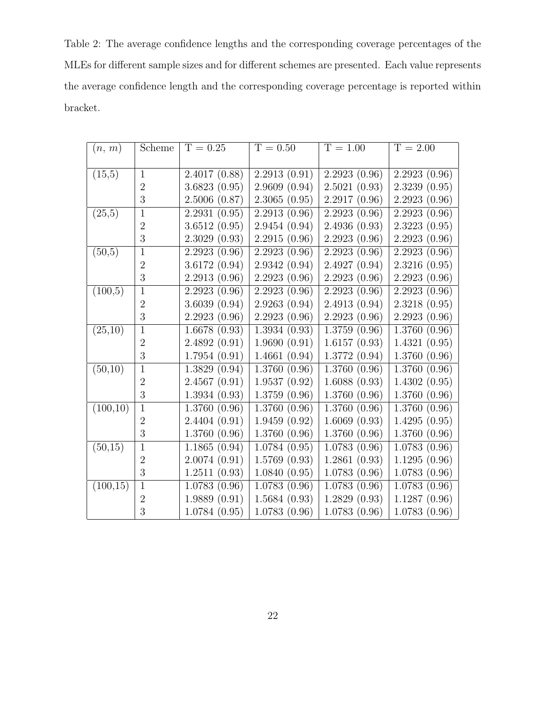Table 2: The average confidence lengths and the corresponding coverage percentages of the MLEs for different sample sizes and for different schemes are presented. Each value represents the average confidence length and the corresponding coverage percentage is reported within bracket.

| (n, m)    | Scheme         | $T = 0.25$   | $T = 0.50$                 | $T = 1.00$   | $T = 2.00$                 |
|-----------|----------------|--------------|----------------------------|--------------|----------------------------|
|           |                |              |                            |              |                            |
| (15,5)    | $\mathbf{1}$   | 2.4017(0.88) | 2.2913(0.91)               | 2.2923(0.96) | 2.2923(0.96)               |
|           | $\overline{2}$ | 3.6823(0.95) | 2.9609(0.94)               | 2.5021(0.93) | 2.3239(0.95)               |
|           | 3              | 2.5006(0.87) | 2.3065(0.95)               | 2.2917(0.96) | 2.2923(0.96)               |
| (25,5)    | $\mathbf{1}$   | 2.2931(0.95) | 2.2913(0.96)               | 2.2923(0.96) | 2.2923(0.96)               |
|           | $\overline{2}$ | 3.6512(0.95) | 2.9454(0.94)               | 2.4936(0.93) | 2.3223(0.95)               |
|           | 3              | 2.3029(0.93) | 2.2915(0.96)               | 2.2923(0.96) | 2.2923(0.96)               |
| (50,5)    | $\overline{1}$ | 2.2923(0.96) | 2.2923(0.96)               | 2.2923(0.96) | 2.2923(0.96)               |
|           | $\overline{2}$ | 3.6172(0.94) | 2.9342(0.94)               | 2.4927(0.94) | 2.3216(0.95)               |
|           | 3              | 2.2913(0.96) | 2.2923(0.96)               | 2.2923(0.96) | 2.2923(0.96)               |
| (100,5)   | $\mathbf{1}$   | 2.2923(0.96) | 2.2923(0.96)               | 2.2923(0.96) | 2.2923(0.96)               |
|           | $\overline{2}$ | 3.6039(0.94) | 2.9263(0.94)               | 2.4913(0.94) | 2.3218(0.95)               |
|           | 3              | 2.2923(0.96) | 2.2923(0.96)               | 2.2923(0.96) | 2.2923(0.96)               |
| (25,10)   | $\mathbf{1}$   | 1.6678(0.93) | 1.3934(0.93)               | 1.3759(0.96) | 1.3760(0.96)               |
|           | $\overline{2}$ | 2.4892(0.91) | 1.9690(0.91)               | 1.6157(0.93) | 1.4321(0.95)               |
|           | 3              | 1.7954(0.91) | 1.4661(0.94)               | 1.3772(0.94) | 1.3760(0.96)               |
| (50,10)   | $\mathbf{1}$   | 1.3829(0.94) | $\overline{1.3760}$ (0.96) | 1.3760(0.96) | $\overline{1.3760}$ (0.96) |
|           | $\overline{2}$ | 2.4567(0.91) | 1.9537(0.92)               | 1.6088(0.93) | 1.4302(0.95)               |
|           | 3              | 1.3934(0.93) | 1.3759(0.96)               | 1.3760(0.96) | 1.3760(0.96)               |
| (100, 10) | $\mathbf{1}$   | 1.3760(0.96) | 1.3760(0.96)               | 1.3760(0.96) | 1.3760(0.96)               |
|           | $\overline{2}$ | 2.4404(0.91) | 1.9459(0.92)               | 1.6069(0.93) | 1.4295(0.95)               |
|           | 3              | 1.3760(0.96) | 1.3760(0.96)               | 1.3760(0.96) | 1.3760(0.96)               |
| (50,15)   | $\mathbf{1}$   | 1.1865(0.94) | 1.0784(0.95)               | 1.0783(0.96) | 1.0783(0.96)               |
|           | $\overline{2}$ | 2.0074(0.91) | 1.5769(0.93)               | 1.2861(0.93) | 1.1295(0.96)               |
|           | 3              | 1.2511(0.93) | 1.0840(0.95)               | 1.0783(0.96) | 1.0783(0.96)               |
| (100, 15) | $\mathbf{1}$   | 1.0783(0.96) | $\overline{1.0783}$ (0.96) | 1.0783(0.96) | 1.0783(0.96)               |
|           | $\overline{2}$ | 1.9889(0.91) | 1.5684(0.93)               | 1.2829(0.93) | 1.1287(0.96)               |
|           | 3              | 1.0784(0.95) | 1.0783(0.96)               | 1.0783(0.96) | 1.0783(0.96)               |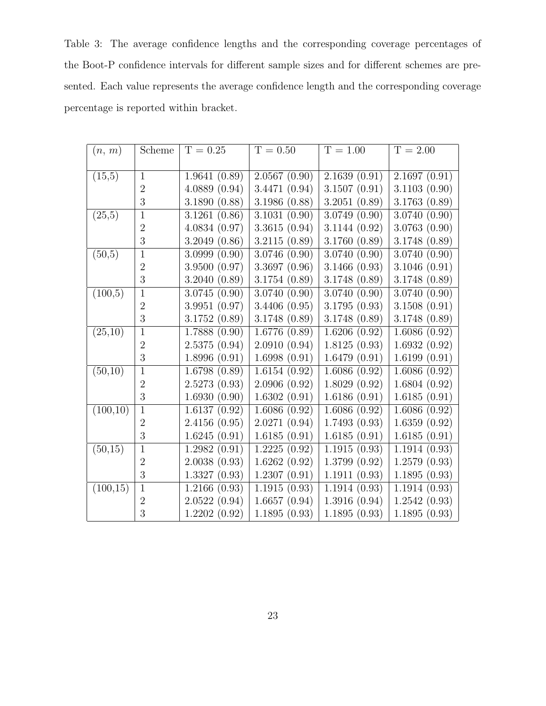Table 3: The average confidence lengths and the corresponding coverage percentages of the Boot-P confidence intervals for different sample sizes and for different schemes are presented. Each value represents the average confidence length and the corresponding coverage percentage is reported within bracket.

| (n, m)                | Scheme         | $T = 0.25$   | $T = 0.50$    | $T = 1.00$   | $T = 2.00$   |
|-----------------------|----------------|--------------|---------------|--------------|--------------|
|                       |                |              |               |              |              |
| (15,5)                | $\mathbf{1}$   | 1.9641(0.89) | 2.0567(0.90)  | 2.1639(0.91) | 2.1697(0.91) |
|                       | $\overline{2}$ | 4.0889(0.94) | 3.4471 (0.94) | 3.1507(0.91) | 3.1103(0.90) |
|                       | 3              | 3.1890(0.88) | 3.1986 (0.88) | 3.2051(0.89) | 3.1763(0.89) |
| (25,5)                | $\mathbf{1}$   | 3.1261(0.86) | 3.1031(0.90)  | 3.0749(0.90) | 3.0740(0.90) |
|                       | $\overline{2}$ | 4.0834(0.97) | 3.3615(0.94)  | 3.1144(0.92) | 3.0763(0.90) |
|                       | 3              | 3.2049(0.86) | 3.2115(0.89)  | 3.1760(0.89) | 3.1748(0.89) |
| (50,5)                | $\mathbf{1}$   | 3.0999(0.90) | 3.0746(0.90)  | 3.0740(0.90) | 3.0740(0.90) |
|                       | $\overline{2}$ | 3.9500(0.97) | 3.3697(0.96)  | 3.1466(0.93) | 3.1046(0.91) |
|                       | 3              | 3.2040(0.89) | 3.1754(0.89)  | 3.1748(0.89) | 3.1748(0.89) |
| (100,5)               | $\mathbf{1}$   | 3.0745(0.90) | 3.0740(0.90)  | 3.0740(0.90) | 3.0740(0.90) |
|                       | $\overline{2}$ | 3.9951(0.97) | 3.4406(0.95)  | 3.1795(0.93) | 3.1508(0.91) |
|                       | 3              | 3.1752(0.89) | 3.1748(0.89)  | 3.1748(0.89) | 3.1748(0.89) |
| (25,10)               | $\mathbf{1}$   | 1.7888(0.90) | 1.6776(0.89)  | 1.6206(0.92) | 1.6086(0.92) |
|                       | $\overline{2}$ | 2.5375(0.94) | 2.0910(0.94)  | 1.8125(0.93) | 1.6932(0.92) |
|                       | 3              | 1.8996(0.91) | 1.6998(0.91)  | 1.6479(0.91) | 1.6199(0.91) |
| (50,10)               | $\mathbf{1}$   | 1.6798(0.89) | 1.6154(0.92)  | 1.6086(0.92) | 1.6086(0.92) |
|                       | $\overline{2}$ | 2.5273(0.93) | 2.0906(0.92)  | 1.8029(0.92) | 1.6804(0.92) |
|                       | 3              | 1.6930(0.90) | 1.6302(0.91)  | 1.6186(0.91) | 1.6185(0.91) |
| (100,10)              | $\overline{1}$ | 1.6137(0.92) | 1.6086(0.92)  | 1.6086(0.92) | 1.6086(0.92) |
|                       | $\overline{2}$ | 2.4156(0.95) | 2.0271(0.94)  | 1.7493(0.93) | 1.6359(0.92) |
|                       | 3              | 1.6245(0.91) | 1.6185(0.91)  | 1.6185(0.91) | 1.6185(0.91) |
| (50, 15)              | $\mathbf{1}$   | 1.2982(0.91) | 1.2225(0.92)  | 1.1915(0.93) | 1.1914(0.93) |
|                       | $\overline{2}$ | 2.0038(0.93) | 1.6262(0.92)  | 1.3799(0.92) | 1.2579(0.93) |
|                       | 3              | 1.3327(0.93) | 1.2307(0.91)  | 1.1911(0.93) | 1.1895(0.93) |
| $(100,\overline{15})$ | $\mathbf{1}$   | 1.2166(0.93) | 1.1915(0.93)  | 1.1914(0.93) | 1.1914(0.93) |
|                       | $\sqrt{2}$     | 2.0522(0.94) | 1.6657(0.94)  | 1.3916(0.94) | 1.2542(0.93) |
|                       | 3              | 1.2202(0.92) | 1.1895(0.93)  | 1.1895(0.93) | 1.1895(0.93) |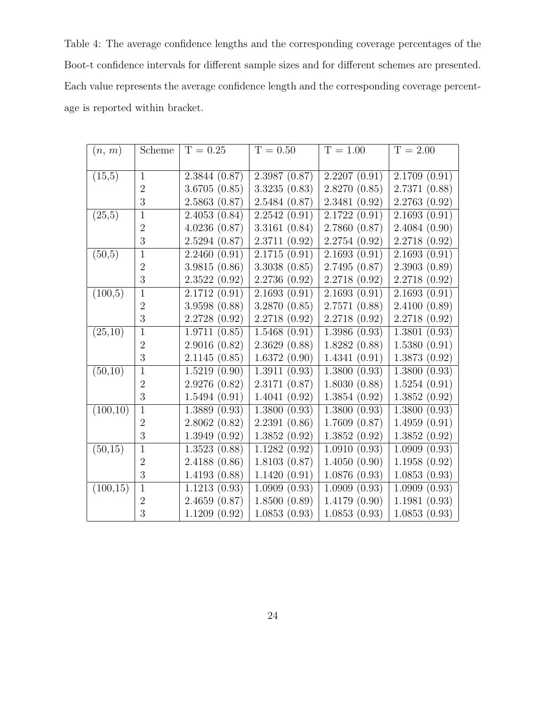Table 4: The average confidence lengths and the corresponding coverage percentages of the Boot-t confidence intervals for different sample sizes and for different schemes are presented. Each value represents the average confidence length and the corresponding coverage percentage is reported within bracket.

| (n, m)                | Scheme         | $T = 0.25$    | $T = 0.50$                 | $T = 1.00$       | $\overline{T=2.00}$ |
|-----------------------|----------------|---------------|----------------------------|------------------|---------------------|
|                       |                |               |                            |                  |                     |
| (15,5)                | $\mathbf{1}$   | 2.3844(0.87)  | 2.3987(0.87)               | 2.2207(0.91)     | 2.1709(0.91)        |
|                       | $\overline{2}$ | 3.6705(0.85)  | 3.3235(0.83)               | 2.8270(0.85)     | 2.7371(0.88)        |
|                       | 3              | 2.5863(0.87)  | 2.5484 (0.87)              | 2.3481(0.92)     | 2.2763(0.92)        |
| (25,5)                | $\mathbf{1}$   | 2.4053(0.84)  | 2.2542(0.91)               | 2.1722(0.91)     | 2.1693(0.91)        |
|                       | $\overline{2}$ | 4.0236(0.87)  | 3.3161(0.84)               | 2.7860(0.87)     | 2.4084(0.90)        |
|                       | 3              | 2.5294(0.87)  | 2.3711(0.92)               | 2.2754(0.92)     | 2.2718(0.92)        |
| (50,5)                | $\mathbf{1}$   | 2.2460(0.91)  | 2.1715(0.91)               | 2.1693(0.91)     | 2.1693(0.91)        |
|                       | $\overline{2}$ | 3.9815(0.86)  | 3.3038(0.85)               | 2.7495(0.87)     | 2.3903(0.89)        |
|                       | 3              | 2.3522(0.92)  | 2.2736 (0.92)              | 2.2718(0.92)     | 2.2718(0.92)        |
| (100,5)               | $\mathbf{1}$   | 2.1712(0.91)  | 2.1693(0.91)               | 2.1693(0.91)     | 2.1693(0.91)        |
|                       | $\overline{2}$ | 3.9598(0.88)  | 3.2870(0.85)               | 2.7571(0.88)     | 2.4100(0.89)        |
|                       | 3              | 2.2728(0.92)  | 2.2718(0.92)               | 2.2718(0.92)     | 2.2718(0.92)        |
| (25,10)               | $\mathbf{1}$   | 1.9711(0.85)  | 1.5468(0.91)               | 1.3986(0.93)     | 1.3801(0.93)        |
|                       | $\overline{2}$ | 2.9016(0.82)  | 2.3629(0.88)               | 1.8282(0.88)     | 1.5380(0.91)        |
|                       | 3              | 2.1145(0.85)  | 1.6372(0.90)               | 1.4341(0.91)     | 1.3873(0.92)        |
| (50,10)               | $\mathbf{1}$   | 1.5219(0.90)  | $\overline{1.3911} (0.93)$ | 1.3800(0.93)     | 1.3800(0.93)        |
|                       | $\overline{2}$ | 2.9276(0.82)  | 2.3171(0.87)               | 1.8030(0.88)     | 1.5254(0.91)        |
|                       | 3              | 1.5494(0.91)  | 1.4041(0.92)               | 1.3854(0.92)     | 1.3852(0.92)        |
| (100,10)              | $\mathbf{1}$   | 1.3889(0.93)  | 1.3800(0.93)               | 1.3800(0.93)     | 1.3800(0.93)        |
|                       | $\overline{2}$ | 2.8062(0.82)  | 2.2391(0.86)               | 1.7609(0.87)     | 1.4959(0.91)        |
|                       | 3              | 1.3949(0.92)  | 1.3852(0.92)               | 1.3852<br>(0.92) | 1.3852(0.92)        |
| (50, 15)              | $\mathbf{1}$   | 1.3523(0.88)  | 1.1282(0.92)               | 1.0910(0.93)     | 1.0909(0.93)        |
|                       | $\overline{2}$ | 2.4188 (0.86) | 1.8103(0.87)               | 1.4050(0.90)     | 1.1958(0.92)        |
|                       | 3              | 1.4193(0.88)  | 1.1420(0.91)               | 1.0876(0.93)     | 1.0853(0.93)        |
| $(100,\overline{15})$ | $\mathbf{1}$   | 1.1213(0.93)  | 1.0909(0.93)               | 1.0909(0.93)     | 1.0909(0.93)        |
|                       | $\sqrt{2}$     | 2.4659(0.87)  | 1.8500(0.89)               | 1.4179(0.90)     | 1.1981(0.93)        |
|                       | 3              | 1.1209(0.92)  | 1.0853(0.93)               | 1.0853(0.93)     | 1.0853(0.93)        |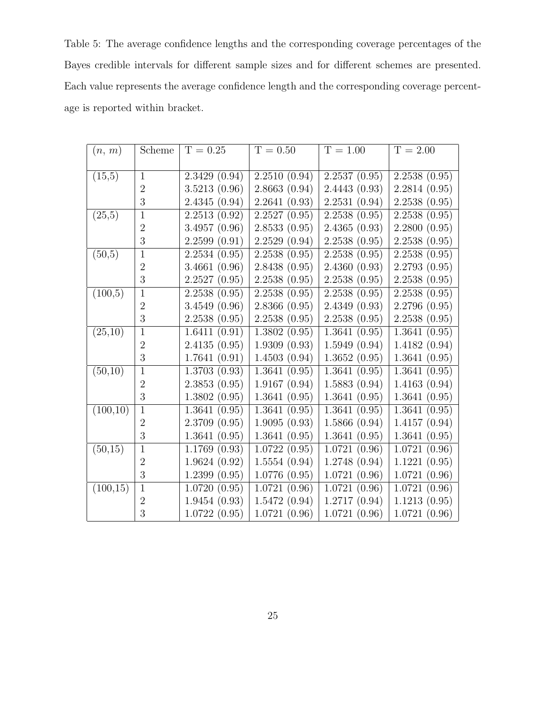Table 5: The average confidence lengths and the corresponding coverage percentages of the Bayes credible intervals for different sample sizes and for different schemes are presented. Each value represents the average confidence length and the corresponding coverage percentage is reported within bracket.

| (n, m)                | Scheme         | $T = 0.25$   | $T = 0.50$   | $T = 1.00$   | $T = 2.00$   |
|-----------------------|----------------|--------------|--------------|--------------|--------------|
|                       |                |              |              |              |              |
| (15,5)                | $\mathbf{1}$   | 2.3429(0.94) | 2.2510(0.94) | 2.2537(0.95) | 2.2538(0.95) |
|                       | $\overline{2}$ | 3.5213(0.96) | 2.8663(0.94) | 2.4443(0.93) | 2.2814(0.95) |
|                       | 3              | 2.4345(0.94) | 2.2641(0.93) | 2.2531(0.94) | 2.2538(0.95) |
| (25,5)                | $\mathbf{1}$   | 2.2513(0.92) | 2.2527(0.95) | 2.2538(0.95) | 2.2538(0.95) |
|                       | $\overline{2}$ | 3.4957(0.96) | 2.8533(0.95) | 2.4365(0.93) | 2.2800(0.95) |
|                       | 3              | 2.2599(0.91) | 2.2529(0.94) | 2.2538(0.95) | 2.2538(0.95) |
| (50,5)                | $\mathbf{1}$   | 2.2534(0.95) | 2.2538(0.95) | 2.2538(0.95) | 2.2538(0.95) |
|                       | $\overline{2}$ | 3.4661(0.96) | 2.8438(0.95) | 2.4360(0.93) | 2.2793(0.95) |
|                       | 3              | 2.2527(0.95) | 2.2538(0.95) | 2.2538(0.95) | 2.2538(0.95) |
| (100,5)               | $\mathbf{1}$   | 2.2538(0.95) | 2.2538(0.95) | 2.2538(0.95) | 2.2538(0.95) |
|                       | $\overline{2}$ | 3.4549(0.96) | 2.8366(0.95) | 2.4349(0.93) | 2.2796(0.95) |
|                       | 3              | 2.2538(0.95) | 2.2538(0.95) | 2.2538(0.95) | 2.2538(0.95) |
| (25,10)               | $\mathbf{1}$   | 1.6411(0.91) | 1.3802(0.95) | 1.3641(0.95) | 1.3641(0.95) |
|                       | $\overline{2}$ | 2.4135(0.95) | 1.9309(0.93) | 1.5949(0.94) | 1.4182(0.94) |
|                       | 3              | 1.7641(0.91) | 1.4503(0.94) | 1.3652(0.95) | 1.3641(0.95) |
| (50,10)               | $\mathbf{1}$   | 1.3703(0.93) | 1.3641(0.95) | 1.3641(0.95) | 1.3641(0.95) |
|                       | $\overline{2}$ | 2.3853(0.95) | 1.9167(0.94) | 1.5883(0.94) | 1.4163(0.94) |
|                       | 3              | 1.3802(0.95) | 1.3641(0.95) | 1.3641(0.95) | 1.3641(0.95) |
| (100,10)              | $\overline{1}$ | 1.3641(0.95) | 1.3641(0.95) | 1.3641(0.95) | 1.3641(0.95) |
|                       | $\overline{2}$ | 2.3709(0.95) | 1.9095(0.93) | 1.5866(0.94) | 1.4157(0.94) |
|                       | 3              | 1.3641(0.95) | 1.3641(0.95) | 1.3641(0.95) | 1.3641(0.95) |
| (50, 15)              | $\mathbf{1}$   | 1.1769(0.93) | 1.0722(0.95) | 1.0721(0.96) | 1.0721(0.96) |
|                       | $\overline{2}$ | 1.9624(0.92) | 1.5554(0.94) | 1.2748(0.94) | 1.1221(0.95) |
|                       | 3              | 1.2399(0.95) | 1.0776(0.95) | 1.0721(0.96) | 1.0721(0.96) |
| $(100,\overline{15})$ | $\mathbf{1}$   | 1.0720(0.95) | 1.0721(0.96) | 1.0721(0.96) | 1.0721(0.96) |
|                       | $\sqrt{2}$     | 1.9454(0.93) | 1.5472(0.94) | 1.2717(0.94) | 1.1213(0.95) |
|                       | 3              | 1.0722(0.95) | 1.0721(0.96) | 1.0721(0.96) | 1.0721(0.96) |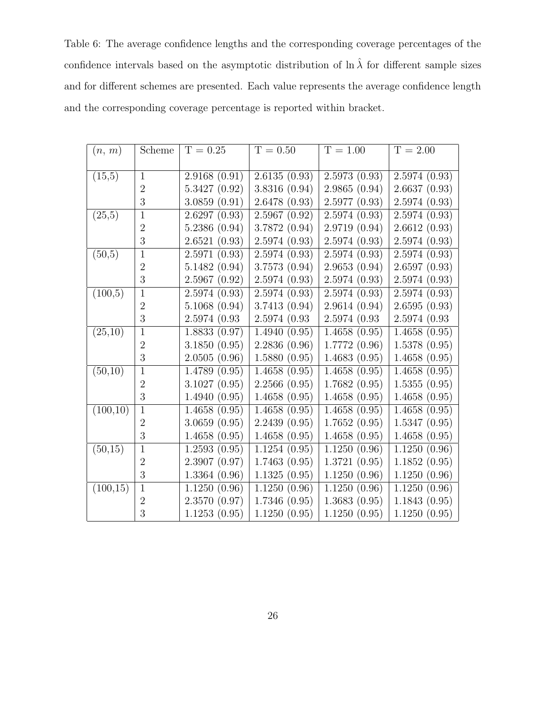Table 6: The average confidence lengths and the corresponding coverage percentages of the confidence intervals based on the asymptotic distribution of  $\ln \hat{\lambda}$  for different sample sizes and for different schemes are presented. Each value represents the average confidence length and the corresponding coverage percentage is reported within bracket.

| (n, m)    | Scheme         | $T = 0.25$                 | $T = 0.50$    | $T = 1.00$                 | $T = 2.00$                 |
|-----------|----------------|----------------------------|---------------|----------------------------|----------------------------|
|           |                |                            |               |                            |                            |
| (15,5)    | $\mathbf{1}$   | 2.9168(0.91)               | 2.6135(0.93)  | 2.5973(0.93)               | 2.5974(0.93)               |
|           | $\overline{2}$ | 5.3427(0.92)               | 3.8316 (0.94) | 2.9865(0.94)               | 2.6637(0.93)               |
|           | 3              | 3.0859(0.91)               | 2.6478 (0.93) | 2.5977(0.93)               | 2.5974(0.93)               |
| (25,5)    | $\mathbf{1}$   | 2.6297(0.93)               | 2.5967(0.92)  | 2.5974(0.93)               | 2.5974(0.93)               |
|           | $\overline{2}$ | 5.2386(0.94)               | 3.7872 (0.94) | 2.9719(0.94)               | 2.6612(0.93)               |
|           | 3              | 2.6521(0.93)               | 2.5974(0.93)  | 2.5974(0.93)               | 2.5974(0.93)               |
| (50,5)    | $\mathbf{1}$   | 2.5971(0.93)               | 2.5974(0.93)  | 2.5974(0.93)               | 2.5974(0.93)               |
|           | $\overline{2}$ | 5.1482(0.94)               | 3.7573 (0.94) | 2.9653(0.94)               | 2.6597(0.93)               |
|           | 3              | 2.5967(0.92)               | 2.5974(0.93)  | 2.5974(0.93)               | 2.5974(0.93)               |
| (100,5)   | $\overline{1}$ | 2.5974(0.93)               | 2.5974(0.93)  | 2.5974(0.93)               | 2.5974(0.93)               |
|           | $\overline{2}$ | 5.1068(0.94)               | 3.7413(0.94)  | 2.9614(0.94)               | 2.6595(0.93)               |
|           | 3              | 2.5974 (0.93)              | 2.5974(0.93)  | 2.5974(0.93)               | 2.5974 (0.93)              |
| (25,10)   | $\mathbf{1}$   | 1.8833(0.97)               | 1.4940(0.95)  | 1.4658(0.95)               | 1.4658(0.95)               |
|           | $\overline{2}$ | 3.1850(0.95)               | 2.2836(0.96)  | 1.7772(0.96)               | 1.5378(0.95)               |
|           | 3              | 2.0505(0.96)               | 1.5880(0.95)  | 1.4683(0.95)               | 1.4658(0.95)               |
| (50,10)   | $\mathbf{1}$   | 1.4789(0.95)               | 1.4658(0.95)  | $\overline{1.4658}$ (0.95) | $\overline{1.4658}$ (0.95) |
|           | $\overline{2}$ | 3.1027(0.95)               | 2.2566(0.95)  | 1.7682(0.95)               | 1.5355(0.95)               |
|           | 3              | 1.4940(0.95)               | 1.4658(0.95)  | 1.4658(0.95)               | 1.4658(0.95)               |
| (100,10)  | $\mathbf{1}$   | 1.4658(0.95)               | 1.4658(0.95)  | 1.4658(0.95)               | 1.4658(0.95)               |
|           | $\overline{2}$ | 3.0659(0.95)               | 2.2439(0.95)  | 1.7652(0.95)               | 1.5347(0.95)               |
|           | 3              | 1.4658(0.95)               | 1.4658(0.95)  | 1.4658(0.95)               | 1.4658(0.95)               |
| (50, 15)  | $\mathbf{1}$   | $\overline{1.2593}$ (0.95) | 1.1254(0.95)  | 1.1250(0.96)               | 1.1250(0.96)               |
|           | $\overline{2}$ | 2.3907(0.97)               | 1.7463(0.95)  | 1.3721(0.95)               | 1.1852(0.95)               |
|           | 3              | 1.3364(0.96)               | 1.1325(0.95)  | 1.1250(0.96)               | 1.1250(0.96)               |
| (100, 15) | $\mathbf{1}$   | 1.1250(0.96)               | 1.1250(0.96)  | 1.1250(0.96)               | 1.1250(0.96)               |
|           | $\overline{2}$ | 2.3570(0.97)               | 1.7346(0.95)  | 1.3683(0.95)               | 1.1843(0.95)               |
|           | 3              | 1.1253(0.95)               | 1.1250(0.95)  | 1.1250(0.95)               | 1.1250(0.95)               |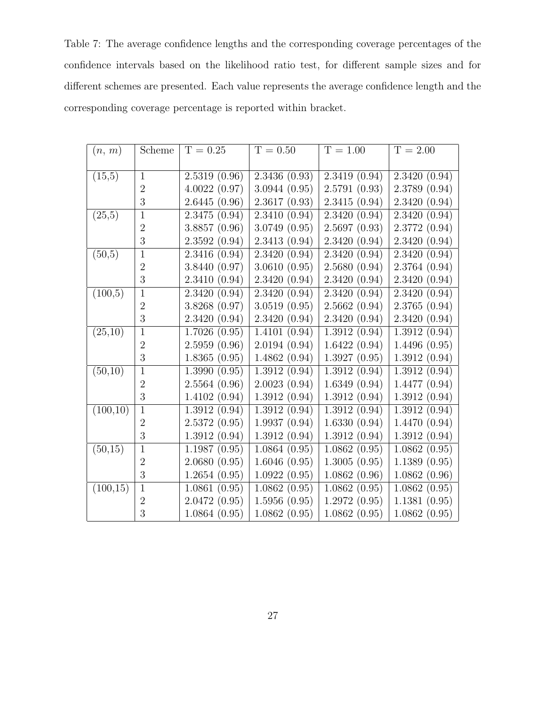Table 7: The average confidence lengths and the corresponding coverage percentages of the confidence intervals based on the likelihood ratio test, for different sample sizes and for different schemes are presented. Each value represents the average confidence length and the corresponding coverage percentage is reported within bracket.

| (n, m)    | Scheme         | $T = 0.25$   | $T = 0.50$   | $T = 1.00$                 | $\overline{T=2.00}$ |
|-----------|----------------|--------------|--------------|----------------------------|---------------------|
|           |                |              |              |                            |                     |
| (15,5)    | $\overline{1}$ | 2.5319(0.96) | 2.3436(0.93) | 2.3419(0.94)               | 2.3420(0.94)        |
|           | $\overline{2}$ | 4.0022(0.97) | 3.0944(0.95) | 2.5791(0.93)               | 2.3789(0.94)        |
|           | 3              | 2.6445(0.96) | 2.3617(0.93) | 2.3415(0.94)               | 2.3420(0.94)        |
| (25,5)    | $\mathbf{1}$   | 2.3475(0.94) | 2.3410(0.94) | 2.3420(0.94)               | 2.3420(0.94)        |
|           | $\overline{2}$ | 3.8857(0.96) | 3.0749(0.95) | 2.5697(0.93)               | 2.3772(0.94)        |
|           | 3              | 2.3592(0.94) | 2.3413(0.94) | 2.3420(0.94)               | 2.3420(0.94)        |
| (50,5)    | $\mathbf{1}$   | 2.3416(0.94) | 2.3420(0.94) | 2.3420(0.94)               | 2.3420(0.94)        |
|           | $\overline{2}$ | 3.8440(0.97) | 3.0610(0.95) | 2.5680(0.94)               | 2.3764(0.94)        |
|           | 3              | 2.3410(0.94) | 2.3420(0.94) | 2.3420(0.94)               | 2.3420(0.94)        |
| (100,5)   | $\,1\,$        | 2.3420(0.94) | 2.3420(0.94) | 2.3420(0.94)               | 2.3420(0.94)        |
|           | $\overline{2}$ | 3.8268(0.97) | 3.0519(0.95) | 2.5662(0.94)               | 2.3765(0.94)        |
|           | 3              | 2.3420(0.94) | 2.3420(0.94) | 2.3420(0.94)               | 2.3420(0.94)        |
| (25,10)   | $\mathbf{1}$   | 1.7026(0.95) | 1.4101(0.94) | 1.3912(0.94)               | 1.3912(0.94)        |
|           | $\overline{2}$ | 2.5959(0.96) | 2.0194(0.94) | 1.6422(0.94)               | 1.4496(0.95)        |
|           | 3              | 1.8365(0.95) | 1.4862(0.94) | 1.3927(0.95)               | 1.3912(0.94)        |
| (50,10)   | $\mathbf{1}$   | 1.3990(0.95) | 1.3912(0.94) | 1.3912(0.94)               | 1.3912(0.94)        |
|           | $\overline{2}$ | 2.5564(0.96) | 2.0023(0.94) | 1.6349(0.94)               | 1.4477(0.94)        |
|           | 3              | 1.4102(0.94) | 1.3912(0.94) | 1.3912(0.94)               | 1.3912(0.94)        |
| (100,10)  | $\mathbf{1}$   | 1.3912(0.94) | 1.3912(0.94) | 1.3912(0.94)               | 1.3912(0.94)        |
|           | $\overline{2}$ | 2.5372(0.95) | 1.9937(0.94) | 1.6330(0.94)               | 1.4470(0.94)        |
|           | $\overline{3}$ | 1.3912(0.94) | 1.3912(0.94) | 1.3912(0.94)               | 1.3912(0.94)        |
| (50, 15)  | $\mathbf{1}$   | 1.1987(0.95) | 1.0864(0.95) | $\overline{1.0862}$ (0.95) | 1.0862(0.95)        |
|           | $\overline{2}$ | 2.0680(0.95) | 1.6046(0.95) | 1.3005(0.95)               | 1.1389(0.95)        |
|           | 3              | 1.2654(0.95) | 1.0922(0.95) | 1.0862(0.96)               | 1.0862(0.96)        |
| (100, 15) | $\mathbf{1}$   | 1.0861(0.95) | 1.0862(0.95) | 1.0862(0.95)               | 1.0862(0.95)        |
|           | $\overline{2}$ | 2.0472(0.95) | 1.5956(0.95) | 1.2972(0.95)               | 1.1381(0.95)        |
|           | 3              | 1.0864(0.95) | 1.0862(0.95) | 1.0862(0.95)               | 1.0862(0.95)        |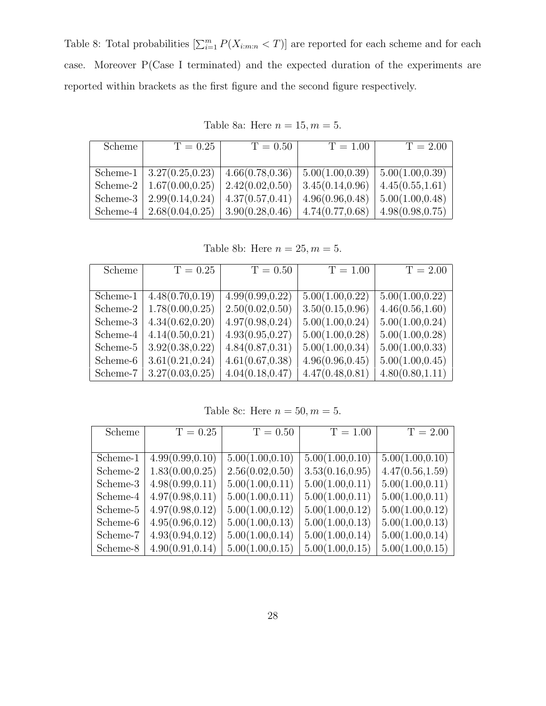Table 8: Total probabilities  $\left[\sum_{i=1}^{m} P(X_{i:m:n} < T)\right]$  are reported for each scheme and for each case. Moreover P(Case I terminated) and the expected duration of the experiments are reported within brackets as the first figure and the second figure respectively.

| Scheme   | $T = 0.25$                    | $T = 0.50$       | $T = 1.00$       | $T = 2.00$              |
|----------|-------------------------------|------------------|------------------|-------------------------|
|          |                               |                  |                  |                         |
|          | Scheme-1   $3.27(0.25, 0.23)$ | 4.66(0.78, 0.36) | 5.00(1.00, 0.39) | $\mid 5.00(1.00, 0.39)$ |
|          | Scheme-2   $1.67(0.00, 0.25)$ | 2.42(0.02, 0.50) | 3.45(0.14, 0.96) | 4.45(0.55, 1.61)        |
| Scheme-3 | 2.99(0.14, 0.24)              | 4.37(0.57, 0.41) | 4.96(0.96, 0.48) | $\mid 5.00(1.00, 0.48)$ |
| Scheme-4 | 2.68(0.04, 0.25)              | 3.90(0.28, 0.46) | 4.74(0.77, 0.68) | 4.98(0.98, 0.75)        |

Table 8a: Here  $n = 15, m = 5$ .

Table 8b: Here  $n = 25, m = 5$ .

| Scheme   | $T = 0.25$       | $T = 0.50$       | $T = 1.00$       | $\overline{T} = 2.00$ |
|----------|------------------|------------------|------------------|-----------------------|
|          |                  |                  |                  |                       |
| Scheme-1 | 4.48(0.70, 0.19) | 4.99(0.99, 0.22) | 5.00(1.00, 0.22) | 5.00(1.00, 0.22)      |
| Scheme-2 | 1.78(0.00, 0.25) | 2.50(0.02, 0.50) | 3.50(0.15, 0.96) | 4.46(0.56, 1.60)      |
| Scheme-3 | 4.34(0.62, 0.20) | 4.97(0.98, 0.24) | 5.00(1.00, 0.24) | 5.00(1.00, 0.24)      |
| Scheme-4 | 4.14(0.50, 0.21) | 4.93(0.95, 0.27) | 5.00(1.00, 0.28) | 5.00(1.00, 0.28)      |
| Scheme-5 | 3.92(0.38, 0.22) | 4.84(0.87, 0.31) | 5.00(1.00, 0.34) | 5.00(1.00, 0.33)      |
| Scheme-6 | 3.61(0.21, 0.24) | 4.61(0.67, 0.38) | 4.96(0.96, 0.45) | 5.00(1.00, 0.45)      |
| Scheme-7 | 3.27(0.03, 0.25) | 4.04(0.18, 0.47) | 4.47(0.48, 0.81) | 4.80(0.80, 1.11)      |

Table 8c: Here  $n = 50, m = 5$ .

| Scheme   | $T = 0.25$       | $T = 0.50$       | $T = 1.00$       | $T = 2.00$       |
|----------|------------------|------------------|------------------|------------------|
|          |                  |                  |                  |                  |
| Scheme-1 | 4.99(0.99, 0.10) | 5.00(1.00, 0.10) | 5.00(1.00, 0.10) | 5.00(1.00, 0.10) |
| Scheme-2 | 1.83(0.00, 0.25) | 2.56(0.02, 0.50) | 3.53(0.16, 0.95) | 4.47(0.56, 1.59) |
| Scheme-3 | 4.98(0.99, 0.11) | 5.00(1.00, 0.11) | 5.00(1.00, 0.11) | 5.00(1.00, 0.11) |
| Scheme-4 | 4.97(0.98, 0.11) | 5.00(1.00, 0.11) | 5.00(1.00, 0.11) | 5.00(1.00, 0.11) |
| Scheme-5 | 4.97(0.98, 0.12) | 5.00(1.00, 0.12) | 5.00(1.00, 0.12) | 5.00(1.00, 0.12) |
| Scheme-6 | 4.95(0.96, 0.12) | 5.00(1.00, 0.13) | 5.00(1.00, 0.13) | 5.00(1.00, 0.13) |
| Scheme-7 | 4.93(0.94, 0.12) | 5.00(1.00, 0.14) | 5.00(1.00, 0.14) | 5.00(1.00, 0.14) |
| Scheme-8 | 4.90(0.91, 0.14) | 5.00(1.00, 0.15) | 5.00(1.00, 0.15) | 5.00(1.00, 0.15) |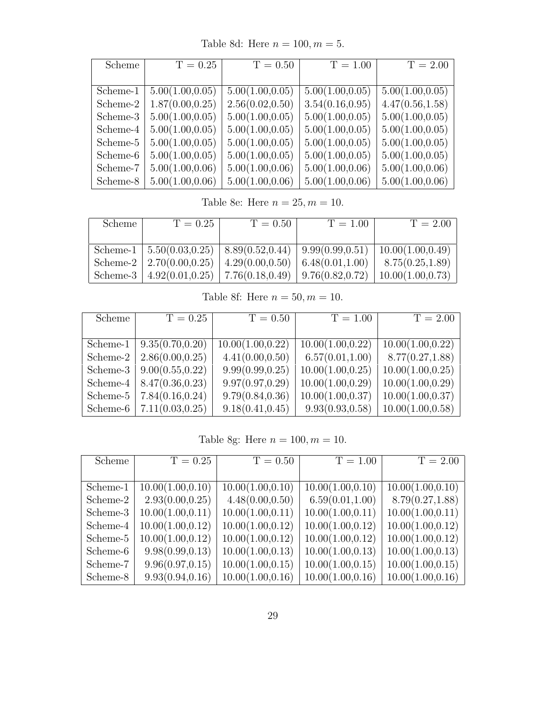Table 8d: Here  $n = 100, m = 5$ .

| Scheme   | $T = 0.25$       | $T = 0.50$       | $T = 1.00$       | $T = 2.00$       |
|----------|------------------|------------------|------------------|------------------|
|          |                  |                  |                  |                  |
| Scheme-1 | 5.00(1.00, 0.05) | 5.00(1.00, 0.05) | 5.00(1.00, 0.05) | 5.00(1.00, 0.05) |
| Scheme-2 | 1.87(0.00, 0.25) | 2.56(0.02, 0.50) | 3.54(0.16, 0.95) | 4.47(0.56, 1.58) |
| Scheme-3 | 5.00(1.00, 0.05) | 5.00(1.00, 0.05) | 5.00(1.00, 0.05) | 5.00(1.00, 0.05) |
| Scheme-4 | 5.00(1.00, 0.05) | 5.00(1.00, 0.05) | 5.00(1.00, 0.05) | 5.00(1.00, 0.05) |
| Scheme-5 | 5.00(1.00, 0.05) | 5.00(1.00, 0.05) | 5.00(1.00, 0.05) | 5.00(1.00, 0.05) |
| Scheme-6 | 5.00(1.00, 0.05) | 5.00(1.00, 0.05) | 5.00(1.00, 0.05) | 5.00(1.00, 0.05) |
| Scheme-7 | 5.00(1.00, 0.06) | 5.00(1.00, 0.06) | 5.00(1.00, 0.06) | 5.00(1.00, 0.06) |
| Scheme-8 | 5.00(1.00, 0.06) | 5.00(1.00, 0.06) | 5.00(1.00, 0.06) | 5.00(1.00, 0.06) |

Table 8e: Here  $n = 25, m = 10$ .

| Scheme | $T = 0.25$                                                              | $T = 0.50$ | $T = 1.00$ | $T = 2.00$                                                                                    |
|--------|-------------------------------------------------------------------------|------------|------------|-----------------------------------------------------------------------------------------------|
|        |                                                                         |            |            |                                                                                               |
|        |                                                                         |            |            | Scheme-1   $5.50(0.03, 0.25)$   $8.89(0.52, 0.44)$   $9.99(0.99, 0.51)$   $10.00(1.00, 0.49)$ |
|        | Scheme-2   2.70(0.00,0.25)   4.29(0.00,0.50)   6.48(0.01,1.00)          |            |            | 8.75(0.25, 1.89)                                                                              |
|        | Scheme-3   $4.92(0.01, 0.25)$   $7.76(0.18, 0.49)$   $9.76(0.82, 0.72)$ |            |            | 10.00(1.00, 0.73)                                                                             |

Table 8f: Here  $n = 50, m = 10$ .

| Scheme      | $T = 0.25$                    | $T = 0.50$        | $T = 1.00$        | $T = 2.00$        |
|-------------|-------------------------------|-------------------|-------------------|-------------------|
|             |                               |                   |                   |                   |
|             | Scheme-1   $9.35(0.70, 0.20)$ | 10.00(1.00, 0.22) | 10.00(1.00, 0.22) | 10.00(1.00, 0.22) |
| Scheme-2    | 2.86(0.00, 0.25)              | 4.41(0.00, 0.50)  | 6.57(0.01, 1.00)  | 8.77(0.27, 1.88)  |
|             | Scheme-3   $9.00(0.55, 0.22)$ | 9.99(0.99, 0.25)  | 10.00(1.00, 0.25) | 10.00(1.00, 0.25) |
| Scheme- $4$ | 8.47(0.36, 0.23)              | 9.97(0.97, 0.29)  | 10.00(1.00, 0.29) | 10.00(1.00, 0.29) |
| Scheme-5    | 7.84(0.16, 0.24)              | 9.79(0.84, 0.36)  | 10.00(1.00, 0.37) | 10.00(1.00, 0.37) |
| Scheme-6    | 7.11(0.03, 0.25)              | 9.18(0.41, 0.45)  | 9.93(0.93, 0.58)  | 10.00(1.00, 0.58) |

Table 8g: Here  $n = 100, m = 10$ .

| Scheme   | $T = 0.25$        | $T = 0.50$        | $T = 1.00$        | $T = 2.00$        |
|----------|-------------------|-------------------|-------------------|-------------------|
|          |                   |                   |                   |                   |
| Scheme-1 | 10.00(1.00, 0.10) | 10.00(1.00, 0.10) | 10.00(1.00, 0.10) | 10.00(1.00, 0.10) |
| Scheme-2 | 2.93(0.00, 0.25)  | 4.48(0.00, 0.50)  | 6.59(0.01, 1.00)  | 8.79(0.27, 1.88)  |
| Scheme-3 | 10.00(1.00, 0.11) | 10.00(1.00, 0.11) | 10.00(1.00, 0.11) | 10.00(1.00, 0.11) |
| Scheme-4 | 10.00(1.00, 0.12) | 10.00(1.00, 0.12) | 10.00(1.00, 0.12) | 10.00(1.00, 0.12) |
| Scheme-5 | 10.00(1.00, 0.12) | 10.00(1.00, 0.12) | 10.00(1.00, 0.12) | 10.00(1.00, 0.12) |
| Scheme-6 | 9.98(0.99, 0.13)  | 10.00(1.00, 0.13) | 10.00(1.00, 0.13) | 10.00(1.00, 0.13) |
| Scheme-7 | 9.96(0.97, 0.15)  | 10.00(1.00, 0.15) | 10.00(1.00, 0.15) | 10.00(1.00, 0.15) |
| Scheme-8 | 9.93(0.94, 0.16)  | 10.00(1.00, 0.16) | 10.00(1.00, 0.16) | 10.00(1.00, 0.16) |